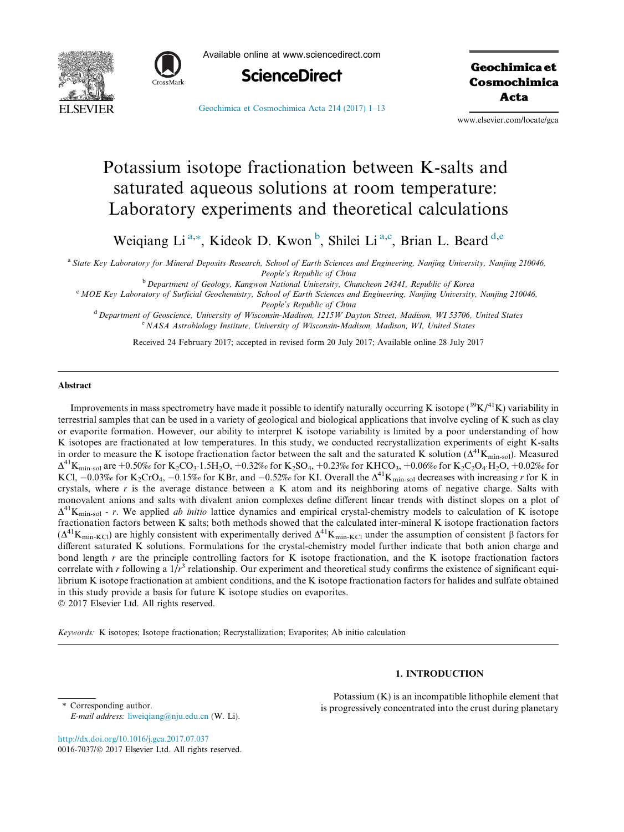



Available online at www.sciencedirect.com



Geochimica et Cosmochimica Acta

[Geochimica et Cosmochimica Acta 214 \(2017\) 1–13](http://dx.doi.org/10.1016/j.gca.2017.07.037)

www.elsevier.com/locate/gca

# Potassium isotope fractionation between K-salts and saturated aqueous solutions at room temperature: Laboratory experiments and theoretical calculations

Weiqiang Li<sup>a,\*</sup>, Kideok D. Kwon<sup>b</sup>, Shilei Li<sup>a,c</sup>, Brian L. Beard<sup>d,e</sup>

a State Key Laboratory for Mineral Deposits Research, School of Earth Sciences and Engineering, Nanjing University, Nanjing 210046, People's Republic of China

b Department of Geology, Kangwon National University, Chuncheon 24341, Republic of Korea

<sup>c</sup> MOE Key Laboratory of Surficial Geochemistry, School of Earth Sciences and Engineering, Nanjing University, Nanjing 210046, People's Republic of China

<sup>d</sup> Department of Geoscience, University of Wisconsin-Madison, 1215W Dayton Street, Madison, WI 53706, United States e NASA Astrobiology Institute, University of Wisconsin-Madison, Madison, WI, United States

Received 24 February 2017; accepted in revised form 20 July 2017; Available online 28 July 2017

#### Abstract

Improvements in mass spectrometry have made it possible to identify naturally occurring K isotope  $(^{39}K/^{41}K)$  variability in terrestrial samples that can be used in a variety of geological and biological applications that involve cycling of K such as clay or evaporite formation. However, our ability to interpret K isotope variability is limited by a poor understanding of how K isotopes are fractionated at low temperatures. In this study, we conducted recrystallization experiments of eight K-salts in order to measure the K isotope fractionation factor between the salt and the saturated K solution ( $\Delta^{41}K_{\text{min-sol}}$ ). Measured  $\Delta^{41}$ K<sub>min-sol</sub> are +0.50% for K<sub>2</sub>CO<sub>3</sub>·1.5H<sub>2</sub>O, +0.32% for K<sub>2</sub>SO<sub>4</sub>, +0.23% for KHCO<sub>3</sub>, +0.06% for K<sub>2</sub>C<sub>2</sub>O<sub>4</sub>·H<sub>2</sub>O, +0.02% for KCl,  $-0.03%$  for K<sub>2</sub>CrO<sub>4</sub>,  $-0.15%$  for KBr, and  $-0.52%$  for KI. Overall the  $\Delta^{41}$ K<sub>min-sol</sub> decreases with increasing r for K in crystals, where  $r$  is the average distance between a K atom and its neighboring atoms of negative charge. Salts with monovalent anions and salts with divalent anion complexes define different linear trends with distinct slopes on a plot of  $\Delta^{41}$ K<sub>min-sol</sub> - r. We applied *ab initio* lattice dynamics and empirical crystal-chemistry models to calculation of K isotope fractionation factors between K salts; both methods showed that the calculated inter-mineral K isotope fractionation factors  $(\Delta^{41}K_{min-KCI})$  are highly consistent with experimentally derived  $\Delta^{41}K_{min-KCI}$  under the assumption of consistent  $\beta$  factors for different saturated K solutions. Formulations for the crystal-chemistry model further indicate that both anion charge and bond length r are the principle controlling factors for K isotope fractionation, and the K isotope fractionation factors correlate with r following a  $1/r^3$  relationship. Our experiment and theoretical study confirms the existence of significant equilibrium K isotope fractionation at ambient conditions, and the K isotope fractionation factors for halides and sulfate obtained in this study provide a basis for future K isotope studies on evaporites. 2017 Elsevier Ltd. All rights reserved.

Keywords: K isotopes; Isotope fractionation; Recrystallization; Evaporites; Ab initio calculation

# 1. INTRODUCTION

⇑ Corresponding author. E-mail address: [liweiqiang@nju.edu.cn](mailto:liweiqiang@nju.edu.cn) (W. Li).

Potassium (K) is an incompatible lithophile element that is progressively concentrated into the crust during planetary

<http://dx.doi.org/10.1016/j.gca.2017.07.037> 0016-7037/© 2017 Elsevier Ltd. All rights reserved.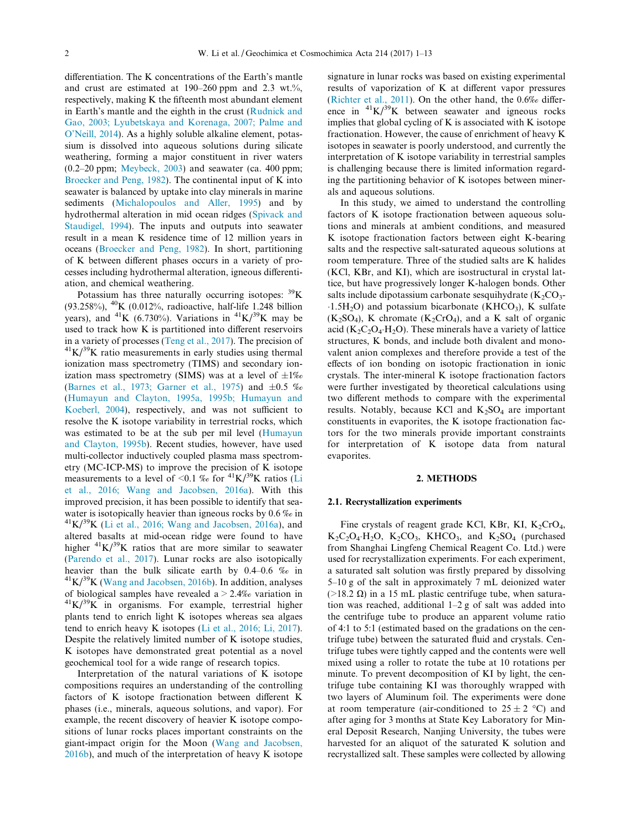differentiation. The K concentrations of the Earth's mantle and crust are estimated at 190–260 ppm and 2.3 wt.%, respectively, making K the fifteenth most abundant element in Earth's mantle and the eighth in the crust ([Rudnick and](#page-11-0) [Gao, 2003; Lyubetskaya and Korenaga, 2007; Palme and](#page-11-0) [O'Neill, 2014\)](#page-11-0). As a highly soluble alkaline element, potassium is dissolved into aqueous solutions during silicate weathering, forming a major constituent in river waters  $(0.2–20 \text{ ppm}; \text{Meybeck}, 2003)$  and seawater (ca. 400 ppm; [Broecker and Peng, 1982](#page-10-0)). The continental input of K into seawater is balanced by uptake into clay minerals in marine sediments [\(Michalopoulos and Aller, 1995](#page-11-0)) and by hydrothermal alteration in mid ocean ridges [\(Spivack and](#page-11-0) [Staudigel, 1994\)](#page-11-0). The inputs and outputs into seawater result in a mean K residence time of 12 million years in oceans ([Broecker and Peng, 1982](#page-10-0)). In short, partitioning of K between different phases occurs in a variety of processes including hydrothermal alteration, igneous differentiation, and chemical weathering.

Potassium has three naturally occurring isotopes:  $\rm^{39}K$ (93.258%), 40K (0.012%, radioactive, half-life 1.248 billion years), and <sup>41</sup>K (6.730%). Variations in <sup>41</sup>K/<sup>39</sup>K may be used to track how K is partitioned into different reservoirs in a variety of processes [\(Teng et al., 2017\)](#page-12-0). The precision of  ${}^{41}K/{}^{39}K$  ratio measurements in early studies using thermal ionization mass spectrometry (TIMS) and secondary ionization mass spectrometry (SIMS) was at a level of  $\pm 1\%$ ([Barnes et al., 1973; Garner et al., 1975](#page-10-0)) and  $\pm 0.5$  % ([Humayun and Clayton, 1995a, 1995b; Humayun and](#page-11-0) [Koeberl, 2004\)](#page-11-0), respectively, and was not sufficient to resolve the K isotope variability in terrestrial rocks, which was estimated to be at the sub per mil level [\(Humayun](#page-11-0) [and Clayton, 1995b\)](#page-11-0). Recent studies, however, have used multi-collector inductively coupled plasma mass spectrometry (MC-ICP-MS) to improve the precision of K isotope measurements to a level of <0.1 % for  $^{41}K/^{39}K$  ratios ([Li](#page-11-0) [et al., 2016; Wang and Jacobsen, 2016a](#page-11-0)). With this improved precision, it has been possible to identify that seawater is isotopically heavier than igneous rocks by 0.6  $\%$  in  $\frac{41 \text{K}}{39 \text{K}}$  [\(Li et al., 2016; Wang and Jacobsen, 2016a\)](#page-11-0), and altered basalts at mid-ocean ridge were found to have higher  ${}^{41}K/{}^{39}K$  ratios that are more similar to seawater ([Parendo et al., 2017](#page-11-0)). Lunar rocks are also isotopically heavier than the bulk silicate earth by 0.4–0.6 ‰ in  $\frac{41 \text{K}}{39 \text{K}}$  ([Wang and Jacobsen, 2016b](#page-12-0)). In addition, analyses of biological samples have revealed a > 2.4‰ variation in  $\frac{41}{K}$  K/<sup>39</sup>K in organisms. For example, terrestrial higher plants tend to enrich light K isotopes whereas sea algaes tend to enrich heavy K isotopes [\(Li et al., 2016; Li, 2017\)](#page-11-0). Despite the relatively limited number of K isotope studies, K isotopes have demonstrated great potential as a novel geochemical tool for a wide range of research topics.

Interpretation of the natural variations of K isotope compositions requires an understanding of the controlling factors of K isotope fractionation between different K phases (i.e., minerals, aqueous solutions, and vapor). For example, the recent discovery of heavier K isotope compositions of lunar rocks places important constraints on the giant-impact origin for the Moon ([Wang and Jacobsen,](#page-12-0) [2016b\)](#page-12-0), and much of the interpretation of heavy K isotope

signature in lunar rocks was based on existing experimental results of vaporization of K at different vapor pressures ([Richter et al., 2011\)](#page-11-0). On the other hand, the 0.6‰ difference in  ${}^{41}K/{}^{39}K$  between seawater and igneous rocks implies that global cycling of K is associated with K isotope fractionation. However, the cause of enrichment of heavy K isotopes in seawater is poorly understood, and currently the interpretation of K isotope variability in terrestrial samples is challenging because there is limited information regarding the partitioning behavior of K isotopes between minerals and aqueous solutions.

In this study, we aimed to understand the controlling factors of K isotope fractionation between aqueous solutions and minerals at ambient conditions, and measured K isotope fractionation factors between eight K-bearing salts and the respective salt-saturated aqueous solutions at room temperature. Three of the studied salts are K halides (KCl, KBr, and KI), which are isostructural in crystal lattice, but have progressively longer K-halogen bonds. Other salts include dipotassium carbonate sesquihydrate  $(K_2CO_3 1.5H<sub>2</sub>O$ ) and potassium bicarbonate (KHCO<sub>3</sub>), K sulfate  $(K_2SO_4)$ , K chromate  $(K_2CrO_4)$ , and a K salt of organic acid ( $K_2C_2O_4$ -H<sub>2</sub>O). These minerals have a variety of lattice structures, K bonds, and include both divalent and monovalent anion complexes and therefore provide a test of the effects of ion bonding on isotopic fractionation in ionic crystals. The inter-mineral K isotope fractionation factors were further investigated by theoretical calculations using two different methods to compare with the experimental results. Notably, because KCl and  $K_2SO_4$  are important constituents in evaporites, the K isotope fractionation factors for the two minerals provide important constraints for interpretation of K isotope data from natural evaporites.

#### 2. METHODS

#### 2.1. Recrystallization experiments

Fine crystals of reagent grade KCl, KBr, KI,  $K_2CrO_4$ ,  $K_2C_2O_4$  H<sub>2</sub>O,  $K_2CO_3$ , KHCO<sub>3</sub>, and  $K_2SO_4$  (purchased from Shanghai Lingfeng Chemical Reagent Co. Ltd.) were used for recrystallization experiments. For each experiment, a saturated salt solution was firstly prepared by dissolving 5–10 g of the salt in approximately 7 mL deionized water ( $>18.2 \Omega$ ) in a 15 mL plastic centrifuge tube, when saturation was reached, additional 1–2 g of salt was added into the centrifuge tube to produce an apparent volume ratio of 4:1 to 5:1 (estimated based on the gradations on the centrifuge tube) between the saturated fluid and crystals. Centrifuge tubes were tightly capped and the contents were well mixed using a roller to rotate the tube at 10 rotations per minute. To prevent decomposition of KI by light, the centrifuge tube containing KI was thoroughly wrapped with two layers of Aluminum foil. The experiments were done at room temperature (air-conditioned to  $25 \pm 2$  °C) and after aging for 3 months at State Key Laboratory for Mineral Deposit Research, Nanjing University, the tubes were harvested for an aliquot of the saturated K solution and recrystallized salt. These samples were collected by allowing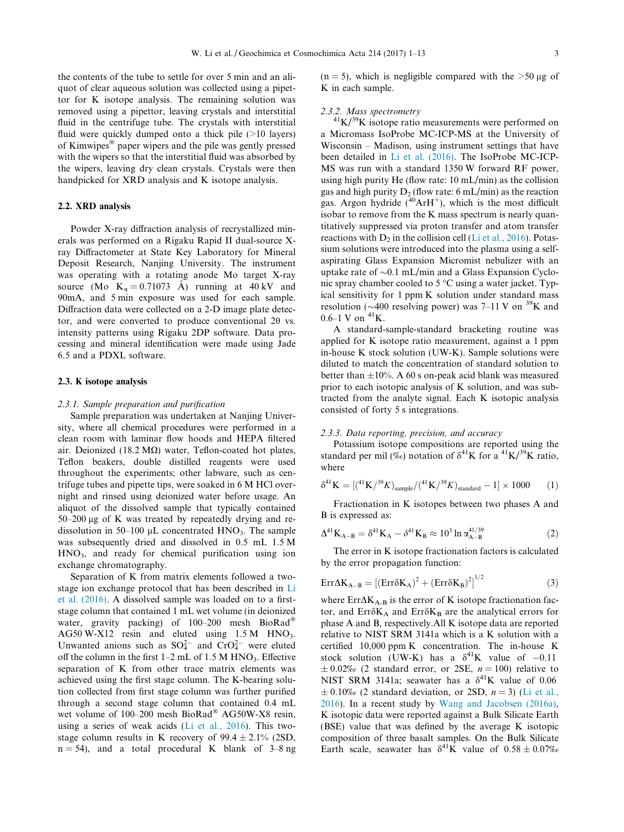the contents of the tube to settle for over 5 min and an aliquot of clear aqueous solution was collected using a pipettor for K isotope analysis. The remaining solution was removed using a pipettor, leaving crystals and interstitial fluid in the centrifuge tube. The crystals with interstitial fluid were quickly dumped onto a thick pile (>10 layers) of Kimwipes<sup>®</sup> paper wipers and the pile was gently pressed with the wipers so that the interstitial fluid was absorbed by the wipers, leaving dry clean crystals. Crystals were then handpicked for XRD analysis and K isotope analysis.

# 2.2. XRD analysis

Powder X-ray diffraction analysis of recrystallized minerals was performed on a Rigaku Rapid II dual-source Xray Diffractometer at State Key Laboratory for Mineral Deposit Research, Nanjing University. The instrument was operating with a rotating anode Mo target X-ray source (Mo  $K_{\alpha} = 0.71073$  Å) running at 40 kV and 90mA, and 5 min exposure was used for each sample. Diffraction data were collected on a 2-D image plate detector, and were converted to produce conventional  $2\theta$  vs. intensity patterns using Rigaku 2DP software. Data processing and mineral identification were made using Jade 6.5 and a PDXL software.

### 2.3. K isotope analysis

#### 2.3.1. Sample preparation and purification

Sample preparation was undertaken at Nanjing University, where all chemical procedures were performed in a clean room with laminar flow hoods and HEPA filtered air. Deionized (18.2 M $\Omega$ ) water, Teflon-coated hot plates, Teflon beakers, double distilled reagents were used throughout the experiments; other labware, such as centrifuge tubes and pipette tips, were soaked in 6 M HCl overnight and rinsed using deionized water before usage. An aliquot of the dissolved sample that typically contained  $50-200 \mu g$  of K was treated by repeatedly drying and redissolution in 50–100  $\mu$ L concentrated HNO<sub>3</sub>. The sample was subsequently dried and dissolved in 0.5 mL 1.5 M HNO3, and ready for chemical purification using ion exchange chromatography.

Separation of K from matrix elements followed a twostage ion exchange protocol that has been described in [Li](#page-11-0) [et al. \(2016\).](#page-11-0) A dissolved sample was loaded on to a firststage column that contained 1 mL wet volume (in deionized water, gravity packing) of  $100-200$  mesh BioRad<sup>®</sup> AG50 W-X12 resin and eluted using  $1.5 M$  HNO<sub>3</sub>. Unwanted anions such as  $SO_4^{2-}$  and  $CrO_4^{2-}$  were eluted off the column in the first  $1-2$  mL of  $1.5$  M HNO<sub>3</sub>. Effective separation of K from other trace matrix elements was achieved using the first stage column. The K-bearing solution collected from first stage column was further purified through a second stage column that contained 0.4 mL wet volume of 100-200 mesh BioRad® AG50W-X8 resin, using a series of weak acids [\(Li et al., 2016](#page-11-0)). This twostage column results in K recovery of  $99.4 \pm 2.1\%$  (2SD,  $n = 54$ ), and a total procedural K blank of 3–8 ng  $(n = 5)$ , which is negligible compared with the  $>50 \mu g$  of K in each sample.

2.3.2. Mass spectrometry<br> $^{41}K/^{39}K$  isotope ratio measurements were performed on a Micromass IsoProbe MC-ICP-MS at the University of Wisconsin – Madison, using instrument settings that have been detailed in [Li et al. \(2016\)](#page-11-0). The IsoProbe MC-ICP-MS was run with a standard 1350 W forward RF power, using high purity He (flow rate: 10 mL/min) as the collision gas and high purity  $D_2$  (flow rate: 6 mL/min) as the reaction gas. Argon hydride  $(^{40}ArH^{+})$ , which is the most difficult isobar to remove from the K mass spectrum is nearly quantitatively suppressed via proton transfer and atom transfer reactions with  $D_2$  in the collision cell [\(Li et al., 2016\)](#page-11-0). Potassium solutions were introduced into the plasma using a selfaspirating Glass Expansion Micromist nebulizer with an uptake rate of  $\sim 0.1$  mL/min and a Glass Expansion Cyclonic spray chamber cooled to 5 °C using a water jacket. Typical sensitivity for 1 ppm K solution under standard mass resolution ( $\sim$ 400 resolving power) was 7–11 V on <sup>39</sup>K and  $0.6-1$  V on  $^{41}$ K.

A standard-sample-standard bracketing routine was applied for K isotope ratio measurement, against a 1 ppm in-house K stock solution (UW-K). Sample solutions were diluted to match the concentration of standard solution to better than  $\pm 10\%$ . A 60 s on-peak acid blank was measured prior to each isotopic analysis of K solution, and was subtracted from the analyte signal. Each K isotopic analysis consisted of forty 5 s integrations.

#### 2.3.3. Data reporting, precision, and accuracy

Potassium isotope compositions are reported using the standard per mil (‰) notation of  $\delta^{41}$ K for a  $^{41}$ K/<sup>39</sup>K ratio, where

$$
\delta^{41} \mathbf{K} = [({}^{41} \mathbf{K} / {}^{39} K)_{\text{sample}} / ({}^{41} \mathbf{K} / {}^{39} K)_{\text{standard}} - 1] \times 1000 \tag{1}
$$

Fractionation in K isotopes between two phases A and B is expressed as:

$$
\Delta^{41}K_{A-B} = \delta^{41}K_A - \delta^{41}K_B \approx 10^3 \ln \alpha_{A-B}^{41/39}
$$
 (2)

The error in K isotope fractionation factors is calculated by the error propagation function:

$$
Err\Delta K_{A-B} = \left[ \left( Err\delta K_A\right)^2 + \left( Err\delta K_B\right)^2 \right]^{1/2} \tag{3}
$$

where  $Err\Delta K_{A-B}$  is the error of K isotope fractionation factor, and  $Err\delta K_A$  and  $Err\delta K_B$  are the analytical errors for phase A and B, respectively.All K isotope data are reported relative to NIST SRM 3141a which is a K solution with a certified 10,000 ppm K concentration. The in-house K stock solution (UW-K) has a  $\delta^{41}$ K value of -0.11  $\pm 0.02\%$  (2 standard error, or 2SE,  $n = 100$ ) relative to NIST SRM 3141a; seawater has a  $\delta^{41}$ K value of 0.06  $\pm$  0.10‰ (2 standard deviation, or 2SD,  $n = 3$ ) [\(Li et al.,](#page-11-0) [2016](#page-11-0)). In a recent study by [Wang and Jacobsen \(2016a\)](#page-12-0), K isotopic data were reported against a Bulk Silicate Earth (BSE) value that was defined by the average K isotopic composition of three basalt samples. On the Bulk Silicate Earth scale, seawater has  $\delta^{41}$ K value of  $0.58 \pm 0.07\%$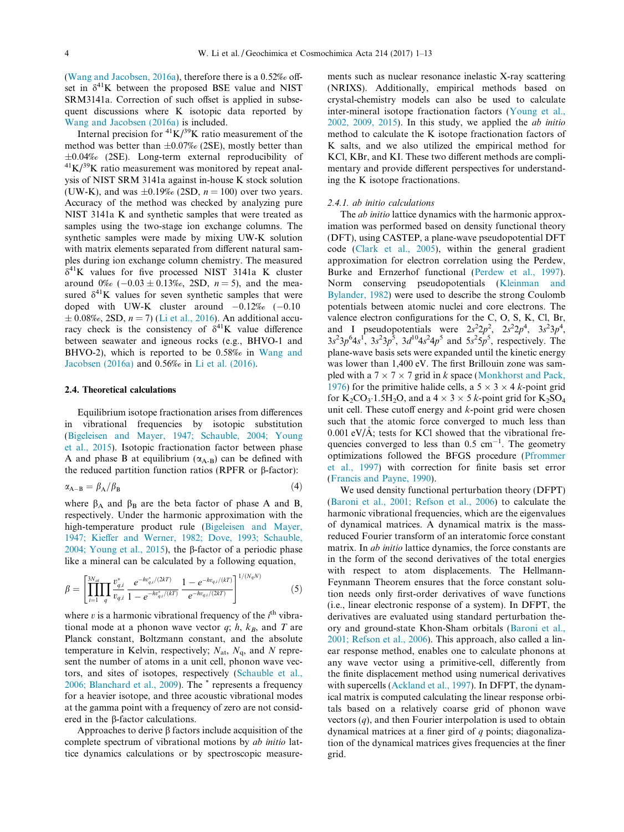<span id="page-3-0"></span>([Wang and Jacobsen, 2016a](#page-12-0)), therefore there is a 0.52‰ offset in  $\delta^{41}$ K between the proposed BSE value and NIST SRM3141a. Correction of such offset is applied in subsequent discussions where K isotopic data reported by [Wang and Jacobsen \(2016a\)](#page-12-0) is included.

Internal precision for  ${}^{41}K/{}^{39}K$  ratio measurement of the method was better than  $\pm 0.07\%$  (2SE), mostly better than  $\pm 0.04\%$  (2SE). Long-term external reproducibility of  ${}^{41}$ K/<sup>39</sup>K ratio measurement was monitored by repeat analysis of NIST SRM 3141a against in-house K stock solution (UW-K), and was  $\pm 0.19\%$  (2SD,  $n = 100$ ) over two years. Accuracy of the method was checked by analyzing pure NIST 3141a K and synthetic samples that were treated as samples using the two-stage ion exchange columns. The synthetic samples were made by mixing UW-K solution with matrix elements separated from different natural samples during ion exchange column chemistry. The measured  $\delta^{41}$ K values for five processed NIST 3141a K cluster around  $0\%$  (-0.03  $\pm$  0.13‰, 2SD, n = 5), and the measured  $\delta^{41}$ K values for seven synthetic samples that were doped with UW-K cluster around  $-0.12\%$  ( $-0.10$ )  $\pm$  0.08‰, 2SD,  $n = 7$ ) ([Li et al., 2016](#page-11-0)). An additional accuracy check is the consistency of  $\delta^{41}$ K value difference between seawater and igneous rocks (e.g., BHVO-1 and BHVO-2), which is reported to be 0.58‰ in [Wang and](#page-12-0) [Jacobsen \(2016a\)](#page-12-0) and 0.56‰ in [Li et al. \(2016\).](#page-11-0)

### 2.4. Theoretical calculations

Equilibrium isotope fractionation arises from differences in vibrational frequencies by isotopic substitution ([Bigeleisen and Mayer, 1947; Schauble, 2004; Young](#page-10-0) [et al., 2015\)](#page-10-0). Isotopic fractionation factor between phase A and phase B at equilibrium  $(\alpha_{A-B})$  can be defined with the reduced partition function ratios (RPFR or  $\beta$ -factor):

$$
\alpha_{A-B} = \beta_A / \beta_B \tag{4}
$$

where  $\beta_A$  and  $\beta_B$  are the beta factor of phase A and B, respectively. Under the harmonic approximation with the high-temperature product rule ([Bigeleisen and Mayer,](#page-10-0) [1947; Kieffer and Werner, 1982; Dove, 1993; Schauble,](#page-10-0) [2004; Young et al., 2015](#page-10-0)), the  $\beta$ -factor of a periodic phase like a mineral can be calculated by a following equation,

$$
\beta = \left[ \prod_{i=1}^{3N_{at}} \prod_{q} \frac{v_{q,i}^*}{v_{q,i}} \frac{e^{-hv_{q,i}^*/(2kT)}}{1 - e^{-hv_{q,i}^*/(kT)}} \frac{1 - e^{-hv_{q,i}/(kT)}}{e^{-hv_{q,i}/(2kT)}} \right]^{1/(N_qN)} \tag{5}
$$

where  $v$  is a harmonic vibrational frequency of the  $i<sup>th</sup>$  vibrational mode at a phonon wave vector  $q$ ;  $h$ ,  $k_B$ , and T are Planck constant, Boltzmann constant, and the absolute temperature in Kelvin, respectively;  $N_{at}$ ,  $N_{q}$ , and N represent the number of atoms in a unit cell, phonon wave vectors, and sites of isotopes, respectively [\(Schauble et al.,](#page-11-0) [2006; Blanchard et al., 2009](#page-11-0)). The \* represents a frequency for a heavier isotope, and three acoustic vibrational modes at the gamma point with a frequency of zero are not considered in the  $\beta$ -factor calculations.

Approaches to derive  $\beta$  factors include acquisition of the complete spectrum of vibrational motions by ab initio lattice dynamics calculations or by spectroscopic measure-

ments such as nuclear resonance inelastic X-ray scattering (NRIXS). Additionally, empirical methods based on crystal-chemistry models can also be used to calculate inter-mineral isotope fractionation factors ([Young et al.,](#page-12-0)  $2002$ ,  $2009$ ,  $2015$ ). In this study, we applied the *ab initio* method to calculate the K isotope fractionation factors of K salts, and we also utilized the empirical method for KCl, KBr, and KI. These two different methods are complimentary and provide different perspectives for understanding the K isotope fractionations.

#### 2.4.1. ab initio calculations

The *ab initio* lattice dynamics with the harmonic approximation was performed based on density functional theory (DFT), using CASTEP, a plane-wave pseudopotential DFT code [\(Clark et al., 2005\)](#page-10-0), within the general gradient approximation for electron correlation using the Perdew, Burke and Ernzerhof functional [\(Perdew et al., 1997\)](#page-11-0). Norm conserving pseudopotentials ([Kleinman and](#page-11-0) [Bylander, 1982\)](#page-11-0) were used to describe the strong Coulomb potentials between atomic nuclei and core electrons. The valence electron configurations for the C, O, S, K, Cl, Br, and I pseudopotentials were  $2s^2 2p^2$ ,  $2s^2 2p^4$ ,  $3s^2 3p^4$ ,  $3s<sup>2</sup>3p<sup>6</sup>4s<sup>1</sup>$ ,  $3s<sup>2</sup>3p<sup>5</sup>$ ,  $3d<sup>10</sup>4s<sup>2</sup>4p<sup>5</sup>$  and  $5s<sup>2</sup>5p<sup>5</sup>$ , respectively. The plane-wave basis sets were expanded until the kinetic energy was lower than 1,400 eV. The first Brillouin zone was sampled with a  $7 \times 7 \times 7$  grid in k space [\(Monkhorst and Pack,](#page-11-0) [1976\)](#page-11-0) for the primitive halide cells, a  $5 \times 3 \times 4$  k-point grid for  $K_2CO_3$  1.5H<sub>2</sub>O, and a 4  $\times$  3  $\times$  5 k-point grid for  $K_2SO_4$ unit cell. These cutoff energy and  $k$ -point grid were chosen such that the atomic force converged to much less than  $0.001$  eV/Å; tests for KCl showed that the vibrational frequencies converged to less than  $0.5 \text{ cm}^{-1}$ . The geometry optimizations followed the BFGS procedure [\(Pfrommer](#page-11-0) [et al., 1997](#page-11-0)) with correction for finite basis set error ([Francis and Payne, 1990](#page-11-0)).

We used density functional perturbation theory (DFPT) ([Baroni et al., 2001; Refson et al., 2006](#page-10-0)) to calculate the harmonic vibrational frequencies, which are the eigenvalues of dynamical matrices. A dynamical matrix is the massreduced Fourier transform of an interatomic force constant matrix. In ab initio lattice dynamics, the force constants are in the form of the second derivatives of the total energies with respect to atom displacements. The Hellmann-Feynmann Theorem ensures that the force constant solution needs only first-order derivatives of wave functions (i.e., linear electronic response of a system). In DFPT, the derivatives are evaluated using standard perturbation theory and ground-state Khon-Sham orbitals [\(Baroni et al.,](#page-10-0) [2001; Refson et al., 2006](#page-10-0)). This approach, also called a linear response method, enables one to calculate phonons at any wave vector using a primitive-cell, differently from the finite displacement method using numerical derivatives with supercells ([Ackland et al., 1997](#page-10-0)). In DFPT, the dynamical matrix is computed calculating the linear response orbitals based on a relatively coarse grid of phonon wave vectors  $(q)$ , and then Fourier interpolation is used to obtain dynamical matrices at a finer gird of  $q$  points; diagonalization of the dynamical matrices gives frequencies at the finer grid.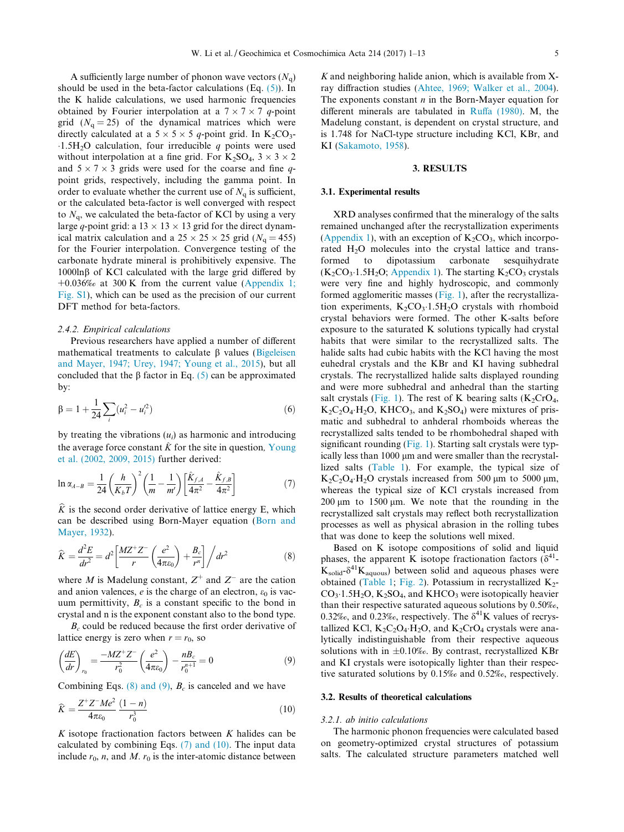<span id="page-4-0"></span>A sufficiently large number of phonon wave vectors  $(N_q)$ should be used in the beta-factor calculations  $(Eq. (5))$  $(Eq. (5))$  $(Eq. (5))$ . In the K halide calculations, we used harmonic frequencies obtained by Fourier interpolation at a  $7 \times 7 \times 7$  q-point grid  $(N_q = 25)$  of the dynamical matrices which were directly calculated at a  $5 \times 5 \times 5$  q-point grid. In K<sub>2</sub>CO<sub>3</sub>- $1.5H<sub>2</sub>O$  calculation, four irreducible q points were used without interpolation at a fine grid. For  $K_2SO_4$ ,  $3 \times 3 \times 2$ and  $5 \times 7 \times 3$  grids were used for the coarse and fine qpoint grids, respectively, including the gamma point. In order to evaluate whether the current use of  $N_a$  is sufficient, or the calculated beta-factor is well converged with respect to  $N_q$ , we calculated the beta-factor of KCl by using a very large q-point grid: a  $13 \times 13 \times 13$  grid for the direct dynamical matrix calculation and a  $25 \times 25 \times 25$  grid ( $N<sub>g</sub> = 455$ ) for the Fourier interpolation. Convergence testing of the carbonate hydrate mineral is prohibitively expensive. The  $1000\ln\beta$  of KCl calculated with the large grid differed by +0.036‰ at 300 K from the current value ([Appendix 1;](#page-10-0) [Fig. S1\)](#page-10-0), which can be used as the precision of our current DFT method for beta-factors.

#### 2.4.2. Empirical calculations

Previous researchers have applied a number of different mathematical treatments to calculate  $\beta$  values ([Bigeleisen](#page-10-0) [and Mayer, 1947; Urey, 1947; Young et al., 2015](#page-10-0)), but all concluded that the  $\beta$  factor in Eq. [\(5\)](#page-3-0) can be approximated by:

$$
\beta = 1 + \frac{1}{24} \sum_{i} (u_i^2 - u_i'^2) \tag{6}
$$

by treating the vibrations  $(u_i)$  as harmonic and introducing the average force constant  $\hat{K}$  for the site in question, [Young](#page-12-0) [et al. \(2002, 2009, 2015\)](#page-12-0) further derived:

$$
\ln \alpha_{A-B} = \frac{1}{24} \left( \frac{h}{K_b T} \right)^2 \left( \frac{1}{m} - \frac{1}{m'} \right) \left[ \frac{\hat{K}_{f,A}}{4\pi^2} - \frac{\hat{K}_{f,B}}{4\pi^2} \right]
$$
(7)

 $\hat{K}$  is the second order derivative of lattice energy E, which can be described using Born-Mayer equation [\(Born and](#page-10-0) [Mayer, 1932\)](#page-10-0).

$$
\widehat{K} = \frac{d^2 E}{dr^2} = d^2 \left[ \frac{M Z^+ Z^-}{r} \left( \frac{e^2}{4 \pi \varepsilon_0} \right) + \frac{B_c}{r^n} \right] / dr^2 \tag{8}
$$

where M is Madelung constant,  $Z^+$  and  $Z^-$  are the cation and anion valences,  $e$  is the charge of an electron,  $\varepsilon_0$  is vacuum permittivity,  $B_c$  is a constant specific to the bond in crystal and n is the exponent constant also to the bond type.

 $B<sub>c</sub>$  could be reduced because the first order derivative of lattice energy is zero when  $r = r_0$ , so

$$
\left(\frac{dE}{dr}\right)_{r_0} = \frac{-MZ^+Z^-}{r_0^2} \left(\frac{e^2}{4\pi\varepsilon_0}\right) - \frac{nB_c}{r_0^{n+1}} = 0\tag{9}
$$

Combining Eqs. (8) and (9),  $B_c$  is canceled and we have

$$
\widehat{K} = \frac{Z^+ Z^- M e^2}{4\pi \varepsilon_0} \frac{(1 - n)}{r_0^3} \tag{10}
$$

K isotope fractionation factors between  $K$  halides can be calculated by combining Eqs. (7) and (10). The input data include  $r_0$ , n, and M.  $r_0$  is the inter-atomic distance between

 $K$  and neighboring halide anion, which is available from  $X$ ray diffraction studies ([Ahtee, 1969; Walker et al., 2004](#page-10-0)). The exponents constant  $n$  in the Born-Mayer equation for different minerals are tabulated in [Ruffa \(1980\).](#page-11-0) M, the Madelung constant, is dependent on crystal structure, and is 1.748 for NaCl-type structure including KCl, KBr, and KI [\(Sakamoto, 1958\)](#page-11-0).

#### 3. RESULTS

#### 3.1. Experimental results

XRD analyses confirmed that the mineralogy of the salts remained unchanged after the recrystallization experiments [\(Appendix 1\)](#page-10-0), with an exception of  $K_2CO_3$ , which incorporated H<sub>2</sub>O molecules into the crystal lattice and transformed to dipotassium carbonate sesquihydrate  $(K_2CO_3.1.5H_2O;$  [Appendix 1\)](#page-10-0). The starting  $K_2CO_3$  crystals were very fine and highly hydroscopic, and commonly formed agglomeritic masses ([Fig. 1](#page-5-0)), after the recrystallization experiments,  $K_2CO_3$ -1.5H<sub>2</sub>O crystals with rhomboid crystal behaviors were formed. The other K-salts before exposure to the saturated K solutions typically had crystal habits that were similar to the recrystallized salts. The halide salts had cubic habits with the KCl having the most euhedral crystals and the KBr and KI having subhedral crystals. The recrystallized halide salts displayed rounding and were more subhedral and anhedral than the starting salt crystals ([Fig. 1](#page-5-0)). The rest of K bearing salts  $(K_2CrO_4,$  $K_2C_2O_4$  H<sub>2</sub>O, KHCO<sub>3</sub>, and  $K_2SO_4$ ) were mixtures of prismatic and subhedral to anhderal rhomboids whereas the recrystallized salts tended to be rhombohedral shaped with significant rounding [\(Fig. 1](#page-5-0)). Starting salt crystals were typically less than 1000 µm and were smaller than the recrystallized salts ([Table 1\)](#page-6-0). For example, the typical size of  $K_2C_2O_4$  H<sub>2</sub>O crystals increased from 500 µm to 5000 µm, whereas the typical size of KCl crystals increased from  $200 \mu m$  to  $1500 \mu m$ . We note that the rounding in the recrystallized salt crystals may reflect both recrystallization processes as well as physical abrasion in the rolling tubes that was done to keep the solutions well mixed.

Based on K isotope compositions of solid and liquid phases, the apparent K isotope fractionation factors  $(\delta^{41}$ - $K_{\text{solid}}$ - $\delta^{41}K_{\text{aquous}}$ ) between solid and aqueous phases were obtained [\(Table 1;](#page-6-0) [Fig. 2](#page-6-0)). Potassium in recrystallized  $K_2$ - $CO_3$ -1.5H<sub>2</sub>O, K<sub>2</sub>SO<sub>4</sub>, and KHCO<sub>3</sub> were isotopically heavier than their respective saturated aqueous solutions by 0.50‰, 0.32‰, and 0.23‰, respectively. The  $\delta^{41}$ K values of recrystallized KCl,  $K_2C_2O_4$  H<sub>2</sub>O, and  $K_2CrO_4$  crystals were analytically indistinguishable from their respective aqueous solutions with in  $\pm 0.10\%$ . By contrast, recrystallized KBr and KI crystals were isotopically lighter than their respective saturated solutions by 0.15‰ and 0.52‰, respectively.

#### 3.2. Results of theoretical calculations

#### 3.2.1. ab initio calculations

The harmonic phonon frequencies were calculated based on geometry-optimized crystal structures of potassium salts. The calculated structure parameters matched well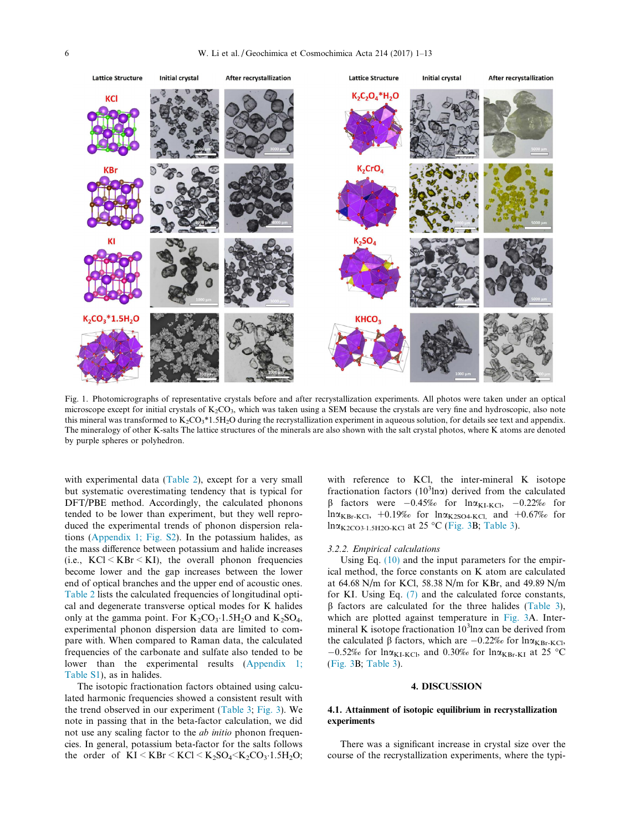<span id="page-5-0"></span>

Fig. 1. Photomicrographs of representative crystals before and after recrystallization experiments. All photos were taken under an optical microscope except for initial crystals of  $K_2CO_3$ , which was taken using a SEM because the crystals are very fine and hydroscopic, also note this mineral was transformed to  $K_2CO_3*1.5H_2O$  during the recrystallization experiment in aqueous solution, for details see text and appendix. The mineralogy of other K-salts The lattice structures of the minerals are also shown with the salt crystal photos, where K atoms are denoted by purple spheres or polyhedron.

with experimental data ([Table 2\)](#page-7-0), except for a very small but systematic overestimating tendency that is typical for DFT/PBE method. Accordingly, the calculated phonons tended to be lower than experiment, but they well reproduced the experimental trends of phonon dispersion relations [\(Appendix 1; Fig. S2](#page-10-0)). In the potassium halides, as the mass difference between potassium and halide increases (i.e.,  $KC \le KBr \le KI$ ), the overall phonon frequencies become lower and the gap increases between the lower end of optical branches and the upper end of acoustic ones. [Table 2](#page-7-0) lists the calculated frequencies of longitudinal optical and degenerate transverse optical modes for K halides only at the gamma point. For  $K_2CO_3 \cdot 1.5H_2O$  and  $K_2SO_4$ , experimental phonon dispersion data are limited to compare with. When compared to Raman data, the calculated frequencies of the carbonate and sulfate also tended to be lower than the experimental results [\(Appendix 1;](#page-10-0) [Table S1\)](#page-10-0), as in halides.

The isotopic fractionation factors obtained using calculated harmonic frequencies showed a consistent result with the trend observed in our experiment ([Table 3](#page-7-0); [Fig. 3\)](#page-8-0). We note in passing that in the beta-factor calculation, we did not use any scaling factor to the ab initio phonon frequencies. In general, potassium beta-factor for the salts follows the order of  $KI < KBr < KCl < K_2SO_4 < K_2CO_3.1.5H_2O$ ;

with reference to KCl, the inter-mineral K isotope fractionation factors ( $10<sup>3</sup>$ ln $\alpha$ ) derived from the calculated  $β$  factors were  $-0.45\%$  for  $lnα_{K1-KCl}$ ,  $-0.22\%$  for  $ln \alpha_{KBr-KCl}$ , +0.19‰ for  $ln \alpha_{K2SO4-KCl}$ , and +0.67‰ for  $\ln \alpha_{K2CO3:1.5H2O-KCl}$  at 25 °C ([Fig. 3B](#page-8-0); [Table 3](#page-7-0)).

#### 3.2.2. Empirical calculations

Using Eq. [\(10\)](#page-4-0) and the input parameters for the empirical method, the force constants on K atom are calculated at 64.68 N/m for KCl, 58.38 N/m for KBr, and 49.89 N/m for KI. Using Eq. [\(7\)](#page-4-0) and the calculated force constants,  $\beta$  factors are calculated for the three halides ([Table 3\)](#page-7-0), which are plotted against temperature in [Fig. 3A](#page-8-0). Intermineral K isotope fractionation  $10^3$ ln $\alpha$  can be derived from the calculated  $\beta$  factors, which are  $-0.22\%$  for  $\ln \alpha_{KBr-KCl}$ ,  $-0.52\%$  for lna<sub>KI-KCl</sub>, and 0.30% for lna<sub>KBr-KI</sub> at 25 °C ([Fig. 3B](#page-8-0); [Table 3](#page-7-0)).

#### 4. DISCUSSION

## 4.1. Attainment of isotopic equilibrium in recrystallization experiments

There was a significant increase in crystal size over the course of the recrystallization experiments, where the typi-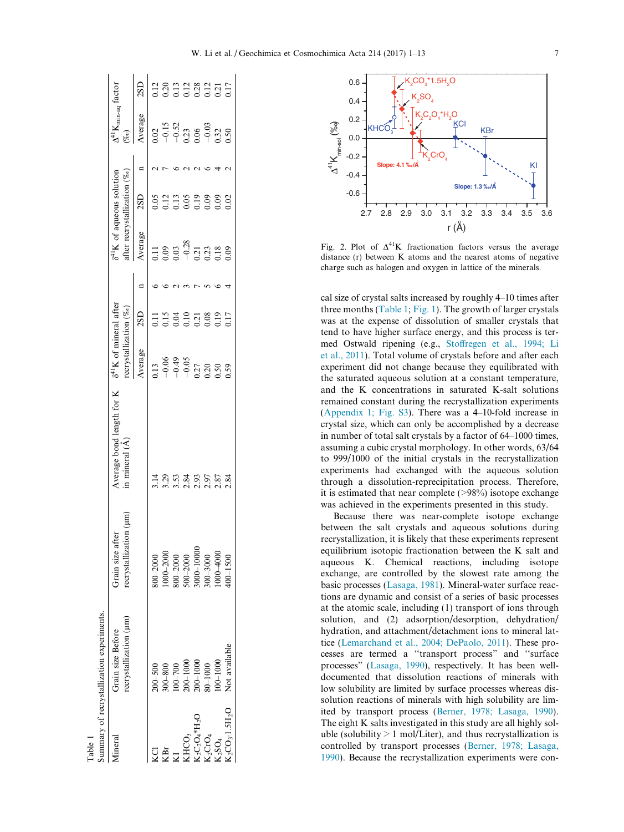<span id="page-6-0"></span>

|                                                                                     | ummary of recrystallization experiments.    |                                              |                                                                              |                                                                                                                                                                                                                                                                                                                   |                 |                                                                                                                                                                                                                                                                                                                 |                 |                                                                                                           |     |
|-------------------------------------------------------------------------------------|---------------------------------------------|----------------------------------------------|------------------------------------------------------------------------------|-------------------------------------------------------------------------------------------------------------------------------------------------------------------------------------------------------------------------------------------------------------------------------------------------------------------|-----------------|-----------------------------------------------------------------------------------------------------------------------------------------------------------------------------------------------------------------------------------------------------------------------------------------------------------------|-----------------|-----------------------------------------------------------------------------------------------------------|-----|
| <b>Imera</b>                                                                        | recrystallization (µm)<br>Grain size Before | recrystallization (um<br>ä<br>Grain size aft | Average bond length for $K = \delta^{41}K$ of mineral after<br>n mineral (Å) | cerystallization (%o)                                                                                                                                                                                                                                                                                             |                 | after recrystallization (%o)<br>$\delta^{41}$ K of aqueous solution                                                                                                                                                                                                                                             |                 | $\Delta^{41}\rm{K}_{min-aq}$ factor<br>$\% o)$                                                            |     |
|                                                                                     |                                             |                                              |                                                                              | Average                                                                                                                                                                                                                                                                                                           | 2S <sub>D</sub> | Average                                                                                                                                                                                                                                                                                                         | 2S <sub>D</sub> | Average                                                                                                   | 2SD |
|                                                                                     | $200 - 500$                                 | $800 - 2000$                                 | $\frac{1}{4}$                                                                |                                                                                                                                                                                                                                                                                                                   |                 |                                                                                                                                                                                                                                                                                                                 |                 |                                                                                                           |     |
|                                                                                     | $300 - 800$                                 | $000 - 2000$                                 |                                                                              |                                                                                                                                                                                                                                                                                                                   |                 |                                                                                                                                                                                                                                                                                                                 |                 |                                                                                                           |     |
|                                                                                     | $00 - 700$                                  | $00 - 2000$                                  |                                                                              |                                                                                                                                                                                                                                                                                                                   |                 |                                                                                                                                                                                                                                                                                                                 |                 |                                                                                                           |     |
|                                                                                     | $0001 - 000$                                | $00-2000$                                    |                                                                              |                                                                                                                                                                                                                                                                                                                   |                 |                                                                                                                                                                                                                                                                                                                 |                 |                                                                                                           |     |
| KHCO <sub>3</sub><br>K <sub>2</sub> C <sub>2</sub> O <sub>4</sub> *H <sub>2</sub> O | $0001 - 000$                                | 00011-000                                    |                                                                              |                                                                                                                                                                                                                                                                                                                   |                 |                                                                                                                                                                                                                                                                                                                 |                 |                                                                                                           |     |
| $\zeta_2$ CrO $_4$                                                                  | $0001 - 0.0$                                | 300-3000                                     | 2<br>22<br>23<br>23<br>23<br>23<br>23<br>23                                  | $\begin{array}{l} 0.13 \\ -0.06 \\ -0.35 \\ -0.27 \\ -0.30 \\ 0.05 \\ 0.05 \\ 0.05 \\ 0.05 \\ 0.05 \\ 0.05 \\ 0.05 \\ 0.05 \\ 0.05 \\ 0.05 \\ 0.05 \\ 0.05 \\ 0.05 \\ 0.05 \\ 0.05 \\ 0.05 \\ 0.05 \\ 0.05 \\ 0.05 \\ 0.05 \\ 0.05 \\ 0.05 \\ 0.05 \\ 0.05 \\ 0.05 \\ 0.05 \\ 0.05 \\ 0.05 \\ 0.05 \\ 0.05 \\ 0.$ | 1153228217      | $\begin{array}{c} 11 \\ 13 \\ 0.03 \\ 0.03 \\ 0.21 \\ 0.03 \\ 0.03 \\ 0.03 \\ 0.03 \\ 0.03 \\ 0.03 \\ 0.03 \\ 0.03 \\ 0.03 \\ 0.03 \\ 0.03 \\ 0.03 \\ 0.03 \\ 0.03 \\ 0.03 \\ 0.03 \\ 0.03 \\ 0.03 \\ 0.03 \\ 0.03 \\ 0.03 \\ 0.03 \\ 0.03 \\ 0.03 \\ 0.03 \\ 0.03 \\ 0.03 \\ 0.03 \\ 0.03 \\ 0.03 \\ 0.03 \\ $ |                 | $\begin{array}{r} 0.02 \\ -0.15 \\ -0.52 \\ 0.23 \\ 0.06 \\ -0.03 \\ 0.32 \\ 0.32 \\ 0.50 \\ \end{array}$ |     |
| $\zeta_2$ SO <sub>4</sub>                                                           | $00 - 1000$                                 | $000 - 4000$                                 |                                                                              |                                                                                                                                                                                                                                                                                                                   |                 |                                                                                                                                                                                                                                                                                                                 |                 |                                                                                                           |     |
| $K_2CO_3$ -1.5H <sub>2</sub> O                                                      | Not available                               | $00 - 1500$                                  | 2.84                                                                         |                                                                                                                                                                                                                                                                                                                   |                 |                                                                                                                                                                                                                                                                                                                 | 02 <sup>o</sup> |                                                                                                           |     |
|                                                                                     |                                             |                                              |                                                                              |                                                                                                                                                                                                                                                                                                                   |                 |                                                                                                                                                                                                                                                                                                                 |                 |                                                                                                           |     |

Table 1



Fig. 2. Plot of  $\Delta^{41}$ K fractionation factors versus the average distance (r) between K atoms and the nearest atoms of negative charge such as halogen and oxygen in lattice of the minerals.

cal size of crystal salts increased by roughly 4–10 times after three months (Table 1; [Fig. 1](#page-5-0)). The growth of larger crystals was at the expense of dissolution of smaller crystals that tend to have higher surface energy, and this process is termed Ostwald ripening (e.g., [Stoffregen et al., 1994; Li](#page-12-0) [et al., 2011](#page-12-0)). Total volume of crystals before and after each experiment did not change because they equilibrated with the saturated aqueous solution at a constant temperature, and the K concentrations in saturated K-salt solutions remained constant during the recrystallization experiments [\(Appendix 1; Fig. S3\)](#page-10-0). There was a 4–10-fold increase in crystal size, which can only be accomplished by a decrease in number of total salt crystals by a factor of 64–1000 times, assuming a cubic crystal morphology. In other words, 63/64 to 999/1000 of the initial crystals in the recrystallization experiments had exchanged with the aqueous solution through a dissolution-reprecipitation process. Therefore, it is estimated that near complete  $(>\!98\%)$  isotope exchange was achieved in the experiments presented in this study.

Because there was near-complete isotope exchange between the salt crystals and aqueous solutions during recrystallization, it is likely that these experiments represent equilibrium isotopic fractionation between the K salt and aqueous K. Chemical reactions, including isotope exchange, are controlled by the slowest rate among the basic processes [\(Lasaga, 1981\)](#page-11-0). Mineral-water surface reactions are dynamic and consist of a series of basic processes at the atomic scale, including (1) transport of ions through solution, and (2) adsorption/desorption, dehydration/ hydration, and attachment/detachment ions to mineral lattice ([Lemarchand et al., 2004; DePaolo, 2011](#page-11-0)). These processes are termed a ''transport process" and ''surface processes" [\(Lasaga, 1990](#page-11-0)), respectively. It has been welldocumented that dissolution reactions of minerals with low solubility are limited by surface processes whereas dissolution reactions of minerals with high solubility are limited by transport process ([Berner, 1978; Lasaga, 1990](#page-10-0)). The eight K salts investigated in this study are all highly soluble (solubility  $> 1$  mol/Liter), and thus recrystallization is controlled by transport processes [\(Berner, 1978; Lasaga,](#page-10-0) [1990](#page-10-0)). Because the recrystallization experiments were con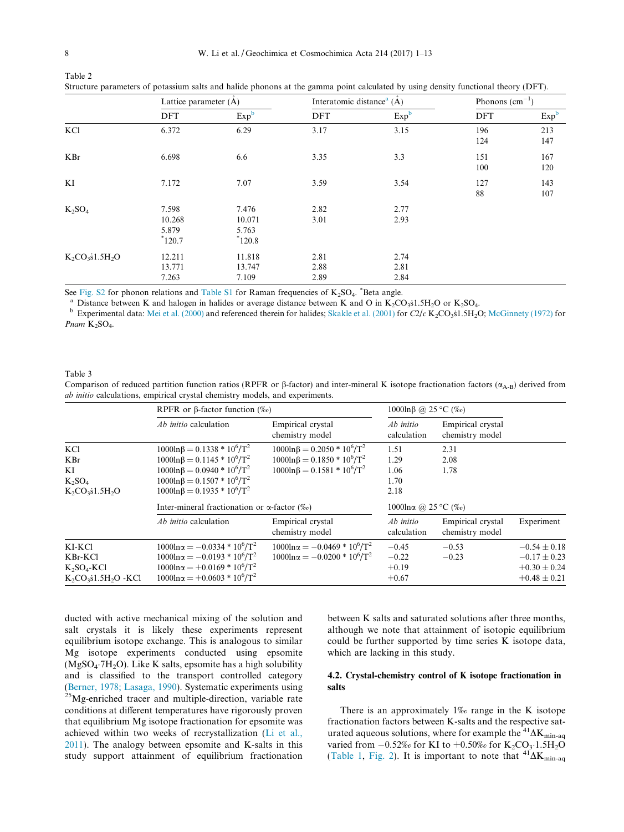<span id="page-7-0"></span>Table 2

|                   | Lattice parameter (A)                |                                      | Interatomic distance <sup>a</sup> $(\dot{A})$ |                      | Phonons $(cm^{-1})$ |                  |
|-------------------|--------------------------------------|--------------------------------------|-----------------------------------------------|----------------------|---------------------|------------------|
|                   | DFT                                  | Exp <sup>b</sup>                     | <b>DFT</b>                                    | Exp <sup>b</sup>     | <b>DFT</b>          | Exp <sup>b</sup> |
| KCl               | 6.372                                | 6.29                                 | 3.17                                          | 3.15                 | 196<br>124          | 213<br>147       |
| KBr               | 6.698                                | 6.6                                  | 3.35                                          | 3.3                  | 151<br>100          | 167<br>120       |
| KI                | 7.172                                | 7.07                                 | 3.59                                          | 3.54                 | 127<br>88           | 143<br>107       |
| $K_2SO_4$         | 7.598<br>10.268<br>5.879<br>$*120.7$ | 7.476<br>10.071<br>5.763<br>$*120.8$ | 2.82<br>3.01                                  | 2.77<br>2.93         |                     |                  |
| $K_2CO_3s1.5H_2O$ | 12.211<br>13.771<br>7.263            | 11.818<br>13.747<br>7.109            | 2.81<br>2.88<br>2.89                          | 2.74<br>2.81<br>2.84 |                     |                  |

Structure parameters of potassium salts and halide phonons at the gamma point calculated by using density functional theory (DFT).

See [Fig. S2](#page-10-0) for phonon relations and [Table S1](#page-10-0) for Raman frequencies of  $K_2SO_4$ . <sup>\*</sup>Beta angle.

<sup>a</sup> Distance between K and halogen in halides or average distance between K and O in  $K_2CO_3s1.5H_2O$  or  $K_2SO_4$ .<br><sup>b</sup> Experimental data: [Mei et al. \(2000\)](#page-11-0) and referenced therein for halides; [Skakle et al. \(2001\)](#page-11-0) for  $C2/c$ Pnam K<sub>2</sub>SO<sub>4</sub>.

Table 3

Comparison of reduced partition function ratios (RPFR or  $\beta$ -factor) and inter-mineral K isotope fractionation factors ( $\alpha_{A-B}$ ) derived from ab initio calculations, empirical crystal chemistry models, and experiments.

|                                                                         | RPFR or $\beta$ -factor function $(\%_0)$                                                                                                                                                                      |                                                                                                                            |                                          | 1000lnβ @ 25 °C (‰)                  |                                                                              |
|-------------------------------------------------------------------------|----------------------------------------------------------------------------------------------------------------------------------------------------------------------------------------------------------------|----------------------------------------------------------------------------------------------------------------------------|------------------------------------------|--------------------------------------|------------------------------------------------------------------------------|
|                                                                         | <i>Ab initio</i> calculation                                                                                                                                                                                   | Empirical crystal<br>chemistry model                                                                                       | Ab initio<br>calculation                 | Empirical crystal<br>chemistry model |                                                                              |
| <b>KCl</b><br><b>KBr</b><br>KI<br>$K_2SO_4$<br>$K_2CO_3s1.5H_2O$        | $1000\ln\beta = 0.1338 * 10^{6}/T^{2}$<br>$1000\ln\beta = 0.1145 * 10^{6}/T^{2}$<br>$1000\ln\beta = 0.0940 * 10^{6}/T^{2}$<br>$1000\ln\beta = 0.1507 * 10^{6}/T^{2}$<br>$1000\ln\beta = 0.1935 * 10^{6}/T^{2}$ | $1000\ln\beta = 0.2050 * 10^{6}/T^{2}$<br>$1000\ln\beta = 0.1850 * 10^{6}/T^{2}$<br>$1000\ln\beta = 0.1581 * 10^{6}/T^{2}$ | 1.51<br>1.29<br>1.06<br>1.70<br>2.18     | 2.31<br>2.08<br>1.78                 |                                                                              |
|                                                                         | Inter-mineral fractionation or $\alpha$ -factor (%)                                                                                                                                                            |                                                                                                                            | 1000lna @ 25 °C (‰)                      |                                      |                                                                              |
|                                                                         | <i>Ab initio</i> calculation                                                                                                                                                                                   | Empirical crystal<br>chemistry model                                                                                       | Ab initio<br>calculation                 | Empirical crystal<br>chemistry model | Experiment                                                                   |
| KI-KCl<br>KBr-KCl<br>$K2SO4-KC1$<br>$K_2CO_3$ s1.5H <sub>2</sub> O -KCl | $1000\ln\alpha = -0.0334 * 10^{6}/T^{2}$<br>$1000\ln\alpha = -0.0193 * 10^{6}/T^{2}$<br>$1000\ln\alpha = +0.0169 * 10^{6}/T^{2}$<br>$1000\ln\alpha = +0.0603 * 10^{6}/T^{2}$                                   | $1000\ln\alpha = -0.0469 * 10^{6}/T^{2}$<br>$1000\ln\alpha = -0.0200 * 10^{6}/T^{2}$                                       | $-0.45$<br>$-0.22$<br>$+0.19$<br>$+0.67$ | $-0.53$<br>$-0.23$                   | $-0.54 \pm 0.18$<br>$-0.17 \pm 0.23$<br>$+0.30 \pm 0.24$<br>$+0.48 \pm 0.21$ |

ducted with active mechanical mixing of the solution and salt crystals it is likely these experiments represent equilibrium isotope exchange. This is analogous to similar Mg isotope experiments conducted using epsomite  $(MgSO<sub>4</sub>·7H<sub>2</sub>O)$ . Like K salts, epsomite has a high solubility and is classified to the transport controlled category ([Berner, 1978; Lasaga, 1990\)](#page-10-0). Systematic experiments using 25Mg-enriched tracer and multiple-direction, variable rate conditions at different temperatures have rigorously proven that equilibrium Mg isotope fractionation for epsomite was achieved within two weeks of recrystallization [\(Li et al.,](#page-11-0) [2011\)](#page-11-0). The analogy between epsomite and K-salts in this study support attainment of equilibrium fractionation

between K salts and saturated solutions after three months, although we note that attainment of isotopic equilibrium could be further supported by time series K isotope data, which are lacking in this study.

# 4.2. Crystal-chemistry control of K isotope fractionation in salts

There is an approximately 1‰ range in the K isotope fractionation factors between K-salts and the respective saturated aqueous solutions, where for example the  ${}^{41}\Delta K$ <sub>min-aq</sub> varied from  $-0.52\%$  for KI to  $+0.50\%$  for K<sub>2</sub>CO<sub>3</sub>·1.5H<sub>2</sub>O ([Table 1,](#page-6-0) [Fig. 2\)](#page-6-0). It is important to note that  ${}^{41}\Delta K_{\text{min-aq}}$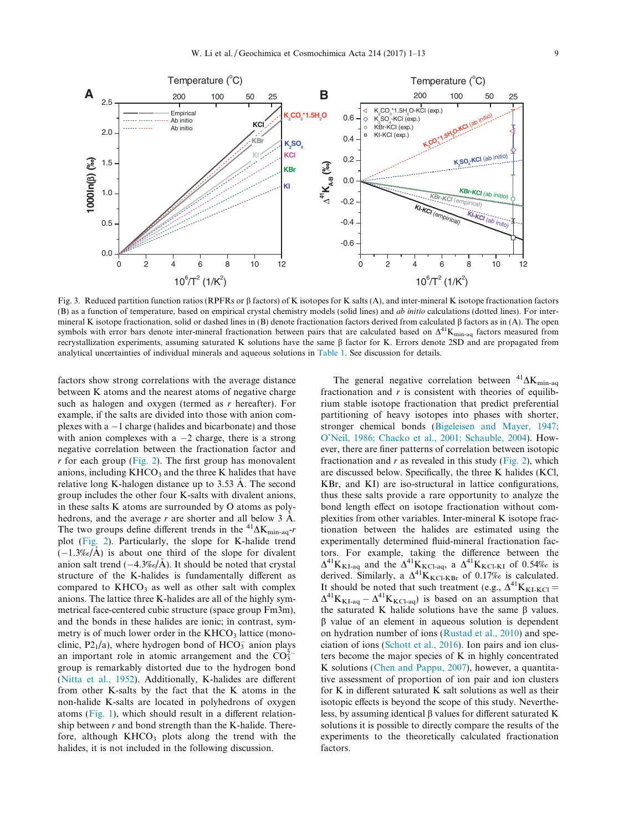<span id="page-8-0"></span>

Fig. 3. Reduced partition function ratios (RPFRs or  $\beta$  factors) of K isotopes for K salts (A), and inter-mineral K isotope fractionation factors (B) as a function of temperature, based on empirical crystal chemistry models (solid lines) and *ab initio* calculations (dotted lines). For intermineral K isotope fractionation, solid or dashed lines in (B) denote fractionation factors derived from calculated b factors as in (A). The open symbols with error bars denote inter-mineral fractionation between pairs that are calculated based on  $\Delta^{41}K_{\text{min-aa}}$  factors measured from recrystallization experiments, assuming saturated K solutions have the same  $\beta$  factor for K. Errors denote 2SD and are propagated from analytical uncertainties of individual minerals and aqueous solutions in [Table 1](#page-6-0). See discussion for details.

factors show strong correlations with the average distance between K atoms and the nearest atoms of negative charge such as halogen and oxygen (termed as  $r$  hereafter). For example, if the salts are divided into those with anion complexes with  $a - 1$  charge (halides and bicarbonate) and those with anion complexes with a  $-2$  charge, there is a strong negative correlation between the fractionation factor and  $r$  for each group [\(Fig. 2\)](#page-6-0). The first group has monovalent anions, including  $KHCO<sub>3</sub>$  and the three K halides that have relative long K-halogen distance up to  $3.53 \text{ Å}$ . The second group includes the other four K-salts with divalent anions, in these salts K atoms are surrounded by O atoms as polyhedrons, and the average r are shorter and all below  $3 \text{ Å}$ . The two groups define different trends in the  ${}^{41}\Delta K$ <sub>min-aq</sub>-r plot ([Fig. 2](#page-6-0)). Particularly, the slope for K-halide trend  $(-1.3\%/A)$  is about one third of the slope for divalent anion salt trend  $(-4.3\%/A)$ . It should be noted that crystal structure of the K-halides is fundamentally different as compared to  $KHCO<sub>3</sub>$  as well as other salt with complex anions. The lattice three K-halides are all of the highly symmetrical face-centered cubic structure (space group Fm3m), and the bonds in these halides are ionic; in contrast, symmetry is of much lower order in the  $KHCO<sub>3</sub>$  lattice (monoclinic,  $P2_1/a$ ), where hydrogen bond of  $HCO_3^-$  anion plays an important role in atomic arrangement and the  $CO_3^{2-}$ group is remarkably distorted due to the hydrogen bond [\(Nitta et al., 1952](#page-11-0)). Additionally, K-halides are different from other K-salts by the fact that the K atoms in the non-halide K-salts are located in polyhedrons of oxygen atoms ([Fig. 1](#page-5-0)), which should result in a different relationship between  $r$  and bond strength than the K-halide. Therefore, although  $KHCO<sub>3</sub>$  plots along the trend with the halides, it is not included in the following discussion.

The general negative correlation between  $^{41}\Delta K_{\text{min-aq}}$ fractionation and  $r$  is consistent with theories of equilibrium stable isotope fractionation that predict preferential partitioning of heavy isotopes into phases with shorter, stronger chemical bonds [\(Bigeleisen and Mayer, 1947;](#page-10-0) [O'Neil, 1986; Chacko et al., 2001; Schauble, 2004\)](#page-10-0). However, there are finer patterns of correlation between isotopic fractionation and  $r$  as revealed in this study [\(Fig. 2\)](#page-6-0), which are discussed below. Specifically, the three K halides (KCl, KBr, and KI) are iso-structural in lattice configurations, thus these salts provide a rare opportunity to analyze the bond length effect on isotope fractionation without complexities from other variables. Inter-mineral K isotope fractionation between the halides are estimated using the experimentally determined fluid-mineral fractionation factors. For example, taking the difference between the  $\Delta^{41}K_{KL-aq}$  and the  $\Delta^{41}K_{KC1-aq}$ , a  $\Delta^{41}K_{KC1-KI}$  of 0.54% is derived. Similarly, a  $\Delta^{41}K_{\text{KCl-KBr}}$  of 0.17‰ is calculated. It should be noted that such treatment (e.g.,  $\Delta^{41}K_{\text{KL-KCl}} =$  $\Delta^{41}K_{\text{KI-aq}} - \Delta^{41}K_{\text{KCl-aq}}$  is based on an assumption that the saturated K halide solutions have the same  $\beta$  values.  $\beta$  value of an element in aqueous solution is dependent on hydration number of ions [\(Rustad et al., 2010\)](#page-11-0) and speciation of ions ([Schott et al., 2016](#page-11-0)). Ion pairs and ion clusters become the major species of K in highly concentrated K solutions ([Chen and Pappu, 2007](#page-10-0)), however, a quantitative assessment of proportion of ion pair and ion clusters for K in different saturated K salt solutions as well as their isotopic effects is beyond the scope of this study. Nevertheless, by assuming identical  $\beta$  values for different saturated K solutions it is possible to directly compare the results of the experiments to the theoretically calculated fractionation factors.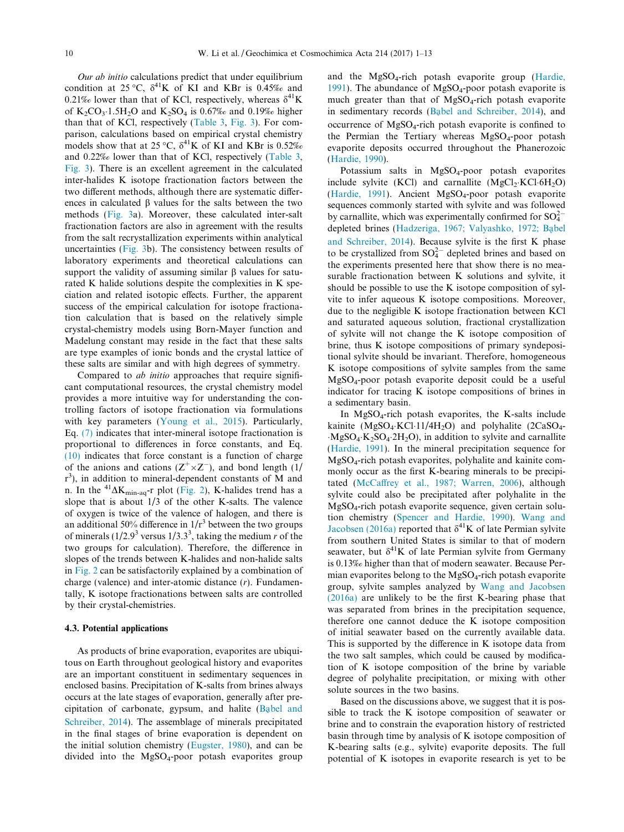Our ab initio calculations predict that under equilibrium condition at 25 °C,  $\delta^{41}$ K of KI and KBr is 0.45‰ and 0.21‰ lower than that of KCl, respectively, whereas  $\delta^{41}$ K of  $K_2CO_3 \cdot 1.5H_2O$  and  $K_2SO_4$  is 0.67‰ and 0.19‰ higher than that of KCl, respectively ([Table 3,](#page-7-0) [Fig. 3](#page-8-0)). For comparison, calculations based on empirical crystal chemistry models show that at 25 °C,  $\delta^{41}$ K of KI and KBr is 0.52‰ and 0.22‰ lower than that of KCl, respectively ([Table 3,](#page-7-0) [Fig. 3](#page-8-0)). There is an excellent agreement in the calculated inter-halides K isotope fractionation factors between the two different methods, although there are systematic differences in calculated  $\beta$  values for the salts between the two methods [\(Fig. 3](#page-8-0)a). Moreover, these calculated inter-salt fractionation factors are also in agreement with the results from the salt recrystallization experiments within analytical uncertainties ([Fig. 3](#page-8-0)b). The consistency between results of laboratory experiments and theoretical calculations can support the validity of assuming similar  $\beta$  values for saturated K halide solutions despite the complexities in K speciation and related isotopic effects. Further, the apparent success of the empirical calculation for isotope fractionation calculation that is based on the relatively simple crystal-chemistry models using Born-Mayer function and Madelung constant may reside in the fact that these salts are type examples of ionic bonds and the crystal lattice of these salts are similar and with high degrees of symmetry.

Compared to ab initio approaches that require significant computational resources, the crystal chemistry model provides a more intuitive way for understanding the controlling factors of isotope fractionation via formulations with key parameters ([Young et al., 2015](#page-12-0)). Particularly, Eq. [\(7\)](#page-4-0) indicates that inter-mineral isotope fractionation is proportional to differences in force constants, and Eq. [\(10\)](#page-4-0) indicates that force constant is a function of charge of the anions and cations  $(Z^+\times Z^-)$ , and bond length  $(1/$ r 3 ), in addition to mineral-dependent constants of M and n. In the  ${}^{41}\Delta K_{\text{min-aq}}$ -r plot ([Fig. 2](#page-6-0)), K-halides trend has a slope that is about  $1/3$  of the other K-salts. The valence of oxygen is twice of the valence of halogen, and there is an additional 50% difference in  $1/r^3$  between the two groups of minerals  $(1/2.9^3$  versus  $1/3.3^3$ , taking the medium r of the two groups for calculation). Therefore, the difference in slopes of the trends between K-halides and non-halide salts in [Fig. 2](#page-6-0) can be satisfactorily explained by a combination of charge (valence) and inter-atomic distance (r). Fundamentally, K isotope fractionations between salts are controlled by their crystal-chemistries.

#### 4.3. Potential applications

As products of brine evaporation, evaporites are ubiquitous on Earth throughout geological history and evaporites are an important constituent in sedimentary sequences in enclosed basins. Precipitation of K-salts from brines always occurs at the late stages of evaporation, generally after pre-cipitation of carbonate, gypsum, and halite ([Ba](#page-10-0)[bel and](#page-10-0) [Schreiber, 2014\)](#page-10-0). The assemblage of minerals precipitated in the final stages of brine evaporation is dependent on the initial solution chemistry [\(Eugster, 1980\)](#page-11-0), and can be divided into the  $MgSO_4$ -poor potash evaporites group and the MgSO4-rich potash evaporite group ([Hardie,](#page-11-0) [1991\)](#page-11-0). The abundance of  $MgSO_4$ -poor potash evaporite is much greater than that of  $MgSO<sub>4</sub>-rich$  potash evaporite in sedimentary records ([Ba](#page-10-0)[bel and Schreiber, 2014\)](#page-10-0), and occurrence of MgSO4-rich potash evaporite is confined to the Permian the Tertiary whereas MgSO<sub>4</sub>-poor potash evaporite deposits occurred throughout the Phanerozoic ([Hardie, 1990\)](#page-11-0).

Potassium salts in  $MgSO<sub>4</sub>$ -poor potash evaporites include sylvite  $(KCl)$  and carnallite  $(MgCl<sub>2</sub> \cdot KCl·6H<sub>2</sub>O)$ ([Hardie, 1991\)](#page-11-0). Ancient MgSO4-poor potash evaporite sequences commonly started with sylvite and was followed by carnallite, which was experimentally confirmed for  $SO_4^{2-}$ depleted brines [\(Hadzeriga, 1967; Valyashko, 1972; B](#page-11-0)a[bel](#page-11-0) [and Schreiber, 2014](#page-11-0)). Because sylvite is the first K phase to be crystallized from  $SO_4^{2-}$  depleted brines and based on the experiments presented here that show there is no measurable fractionation between K solutions and sylvite, it should be possible to use the K isotope composition of sylvite to infer aqueous K isotope compositions. Moreover, due to the negligible K isotope fractionation between KCl and saturated aqueous solution, fractional crystallization of sylvite will not change the K isotope composition of brine, thus K isotope compositions of primary syndepositional sylvite should be invariant. Therefore, homogeneous K isotope compositions of sylvite samples from the same MgSO4-poor potash evaporite deposit could be a useful indicator for tracing K isotope compositions of brines in a sedimentary basin.

In MgSO4-rich potash evaporites, the K-salts include kainite (MgSO<sub>4</sub>·KCl·11/4H<sub>2</sub>O) and polyhalite (2CaSO<sub>4</sub>- $MgSO_4 \cdot K_2SO_4 \cdot 2H_2O$ , in addition to sylvite and carnallite ([Hardie, 1991\)](#page-11-0). In the mineral precipitation sequence for MgSO4-rich potash evaporites, polyhalite and kainite commonly occur as the first K-bearing minerals to be precipitated [\(McCaffrey et al., 1987; Warren, 2006](#page-11-0)), although sylvite could also be precipitated after polyhalite in the MgSO4-rich potash evaporite sequence, given certain solution chemistry ([Spencer and Hardie, 1990\)](#page-11-0). [Wang and](#page-12-0) [Jacobsen \(2016a\)](#page-12-0) reported that  $\delta^{41}$ K of late Permian sylvite from southern United States is similar to that of modern seawater, but  $\delta^{41}$ K of late Permian sylvite from Germany is 0.13‰ higher than that of modern seawater. Because Permian evaporites belong to the  $MgSO<sub>4</sub>$ -rich potash evaporite group, sylvite samples analyzed by [Wang and Jacobsen](#page-12-0) [\(2016a\)](#page-12-0) are unlikely to be the first K-bearing phase that was separated from brines in the precipitation sequence, therefore one cannot deduce the K isotope composition of initial seawater based on the currently available data. This is supported by the difference in K isotope data from the two salt samples, which could be caused by modification of K isotope composition of the brine by variable degree of polyhalite precipitation, or mixing with other solute sources in the two basins.

Based on the discussions above, we suggest that it is possible to track the K isotope composition of seawater or brine and to constrain the evaporation history of restricted basin through time by analysis of K isotope composition of K-bearing salts (e.g., sylvite) evaporite deposits. The full potential of K isotopes in evaporite research is yet to be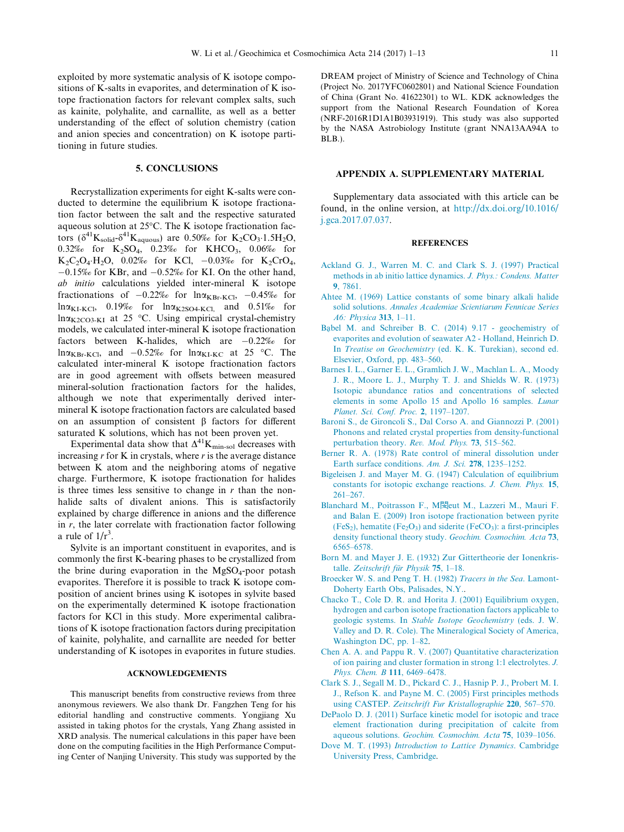<span id="page-10-0"></span>exploited by more systematic analysis of K isotope compositions of K-salts in evaporites, and determination of K isotope fractionation factors for relevant complex salts, such as kainite, polyhalite, and carnallite, as well as a better understanding of the effect of solution chemistry (cation and anion species and concentration) on K isotope partitioning in future studies.

#### 5. CONCLUSIONS

Recrystallization experiments for eight K-salts were conducted to determine the equilibrium K isotope fractionation factor between the salt and the respective saturated aqueous solution at  $25^{\circ}$ C. The K isotope fractionation factors  $(\delta^{41}K_{\text{solid}}\delta^{41}K_{\text{aquous}})$  are 0.50‰ for  $K_2CO_3$ -1.5H<sub>2</sub>O, 0.32‰ for  $K_2SO_4$ , 0.23‰ for KHCO<sub>3</sub>, 0.06‰ for  $K_2C_2O_4$  H<sub>2</sub>O, 0.02‰ for KCl, -0.03‰ for K<sub>2</sub>CrO<sub>4</sub>,  $-0.15\%$  for KBr, and  $-0.52\%$  for KI. On the other hand, ab initio calculations yielded inter-mineral K isotope fractionations of  $-0.22\%$  for  $ln \alpha_{KBr-KCl}$ ,  $-0.45\%$  for  $ln\alpha_{\text{KL-KCl}}$ , 0.19‰ for  $ln\alpha_{\text{K2SO4-KCl}}$ , and 0.51‰ for  $ln \alpha_{K2CO3-KI}$  at 25 °C. Using empirical crystal-chemistry models, we calculated inter-mineral K isotope fractionation factors between K-halides, which are  $-0.22\%$  for  $ln \alpha_{KBr-KCl}$ , and  $-0.52\%$  for  $ln \alpha_{KL-KC}$  at 25 °C. The calculated inter-mineral K isotope fractionation factors are in good agreement with offsets between measured mineral-solution fractionation factors for the halides, although we note that experimentally derived intermineral K isotope fractionation factors are calculated based on an assumption of consistent  $\beta$  factors for different saturated K solutions, which has not been proven yet.

Experimental data show that  $\Delta^{41}$ K<sub>min-sol</sub> decreases with increasing  $r$  for K in crystals, where  $r$  is the average distance between K atom and the neighboring atoms of negative charge. Furthermore, K isotope fractionation for halides is three times less sensitive to change in  $r$  than the nonhalide salts of divalent anions. This is satisfactorily explained by charge difference in anions and the difference in  $r$ , the later correlate with fractionation factor following a rule of  $1/r^3$ .

Sylvite is an important constituent in evaporites, and is commonly the first K-bearing phases to be crystallized from the brine during evaporation in the  $MgSO_4$ -poor potash evaporites. Therefore it is possible to track K isotope composition of ancient brines using K isotopes in sylvite based on the experimentally determined K isotope fractionation factors for KCl in this study. More experimental calibrations of K isotope fractionation factors during precipitation of kainite, polyhalite, and carnallite are needed for better understanding of K isotopes in evaporites in future studies.

#### ACKNOWLEDGEMENTS

This manuscript benefits from constructive reviews from three anonymous reviewers. We also thank Dr. Fangzhen Teng for his editorial handling and constructive comments. Yongjiang Xu assisted in taking photos for the crystals, Yang Zhang assisted in XRD analysis. The numerical calculations in this paper have been done on the computing facilities in the High Performance Computing Center of Nanjing University. This study was supported by the

DREAM project of Ministry of Science and Technology of China (Project No. 2017YFC0602801) and National Science Foundation of China (Grant No. 41622301) to WL. KDK acknowledges the support from the National Research Foundation of Korea (NRF-2016R1D1A1B03931919). This study was also supported by the NASA Astrobiology Institute (grant NNA13AA94A to BLB.).

### APPENDIX A. SUPPLEMENTARY MATERIAL

Supplementary data associated with this article can be found, in the online version, at [http://dx.doi.org/10.1016/](http://dx.doi.org/10.1016/j.gca.2017.07.037) [j.gca.2017.07.037.](http://dx.doi.org/10.1016/j.gca.2017.07.037)

#### **REFERENCES**

- [Ackland G. J., Warren M. C. and Clark S. J. \(1997\) Practical](http://refhub.elsevier.com/S0016-7037(17)30461-1/h0005) [methods in ab initio lattice dynamics.](http://refhub.elsevier.com/S0016-7037(17)30461-1/h0005) J. Phys.: Condens. Matter 9[, 7861.](http://refhub.elsevier.com/S0016-7037(17)30461-1/h0005)
- [Ahtee M. \(1969\) Lattice constants of some binary alkali halide](http://refhub.elsevier.com/S0016-7037(17)30461-1/h0010) solid solutions. [Annales Academiae Scientiarum Fennicae Series](http://refhub.elsevier.com/S0016-7037(17)30461-1/h0010) [A6: Physica](http://refhub.elsevier.com/S0016-7037(17)30461-1/h0010) 313, 1–11.
- [Ba](http://refhub.elsevier.com/S0016-7037(17)30461-1/h0015)[bel M. and Schreiber B. C. \(2014\) 9.17 geochemistry of](http://refhub.elsevier.com/S0016-7037(17)30461-1/h0015) [evaporites and evolution of seawater A2 - Holland, Heinrich D.](http://refhub.elsevier.com/S0016-7037(17)30461-1/h0015) In Treatise on Geochemistry [\(ed. K. K. Turekian\), second ed.](http://refhub.elsevier.com/S0016-7037(17)30461-1/h0015) [Elsevier, Oxford, pp. 483–560.](http://refhub.elsevier.com/S0016-7037(17)30461-1/h0015)
- [Barnes I. L., Garner E. L., Gramlich J. W., Machlan L. A., Moody](http://refhub.elsevier.com/S0016-7037(17)30461-1/h0020) [J. R., Moore L. J., Murphy T. J. and Shields W. R. \(1973\)](http://refhub.elsevier.com/S0016-7037(17)30461-1/h0020) [Isotopic abundance ratios and concentrations of selected](http://refhub.elsevier.com/S0016-7037(17)30461-1/h0020) [elements in some Apollo 15 and Apollo 16 samples.](http://refhub.elsevier.com/S0016-7037(17)30461-1/h0020) Lunar [Planet. Sci. Conf. Proc.](http://refhub.elsevier.com/S0016-7037(17)30461-1/h0020) 2, 1197–1207.
- [Baroni S., de Gironcoli S., Dal Corso A. and Giannozzi P. \(2001\)](http://refhub.elsevier.com/S0016-7037(17)30461-1/h0025) [Phonons and related crystal properties from density-functional](http://refhub.elsevier.com/S0016-7037(17)30461-1/h0025) [perturbation theory.](http://refhub.elsevier.com/S0016-7037(17)30461-1/h0025) Rev. Mod. Phys. 73, 515–562.
- [Berner R. A. \(1978\) Rate control of mineral dissolution under](http://refhub.elsevier.com/S0016-7037(17)30461-1/h0030) [Earth surface conditions.](http://refhub.elsevier.com/S0016-7037(17)30461-1/h0030) Am. J. Sci. 278, 1235–1252.
- [Bigeleisen J. and Mayer M. G. \(1947\) Calculation of equilibrium](http://refhub.elsevier.com/S0016-7037(17)30461-1/h0035) [constants for isotopic exchange reactions.](http://refhub.elsevier.com/S0016-7037(17)30461-1/h0035) J. Chem. Phys. 15, [261–267.](http://refhub.elsevier.com/S0016-7037(17)30461-1/h0035)
- [Blanchard M., Poitrasson F., M](http://refhub.elsevier.com/S0016-7037(17)30461-1/h0040)閔eut M., Lazzeri M., Mauri F. [and Balan E. \(2009\) Iron isotope fractionation between pyrite](http://refhub.elsevier.com/S0016-7037(17)30461-1/h0040)  $(FeS<sub>2</sub>)$ , hematite  $(Fe<sub>2</sub>O<sub>3</sub>)$  and siderite  $(FeCO<sub>3</sub>)$ : a first-principles [density functional theory study.](http://refhub.elsevier.com/S0016-7037(17)30461-1/h0040) Geochim. Cosmochim. Acta 73, [6565–6578.](http://refhub.elsevier.com/S0016-7037(17)30461-1/h0040)
- [Born M. and Mayer J. E. \(1932\) Zur Gittertheorie der Ionenkris](http://refhub.elsevier.com/S0016-7037(17)30461-1/h0045)talle. Zeitschrift für Physik 75, 1-18.
- [Broecker W. S. and Peng T. H. \(1982\)](http://refhub.elsevier.com/S0016-7037(17)30461-1/h0050) Tracers in the Sea. Lamont-[Doherty Earth Obs, Palisades, N.Y..](http://refhub.elsevier.com/S0016-7037(17)30461-1/h0050)
- [Chacko T., Cole D. R. and Horita J. \(2001\) Equilibrium oxygen,](http://refhub.elsevier.com/S0016-7037(17)30461-1/h0055) [hydrogen and carbon isotope fractionation factors applicable to](http://refhub.elsevier.com/S0016-7037(17)30461-1/h0055) geologic systems. In [Stable Isotope Geochemistry](http://refhub.elsevier.com/S0016-7037(17)30461-1/h0055) (eds. J. W. [Valley and D. R. Cole\). The Mineralogical Society of America,](http://refhub.elsevier.com/S0016-7037(17)30461-1/h0055) [Washington DC, pp. 1–82.](http://refhub.elsevier.com/S0016-7037(17)30461-1/h0055)
- [Chen A. A. and Pappu R. V. \(2007\) Quantitative characterization](http://refhub.elsevier.com/S0016-7037(17)30461-1/h0060) [of ion pairing and cluster formation in strong 1:1 electrolytes.](http://refhub.elsevier.com/S0016-7037(17)30461-1/h0060) J. [Phys. Chem. B](http://refhub.elsevier.com/S0016-7037(17)30461-1/h0060) 111, 6469-6478.
- [Clark S. J., Segall M. D., Pickard C. J., Hasnip P. J., Probert M. I.](http://refhub.elsevier.com/S0016-7037(17)30461-1/h0065) [J., Refson K. and Payne M. C. \(2005\) First principles methods](http://refhub.elsevier.com/S0016-7037(17)30461-1/h0065) using CASTEP. [Zeitschrift Fur Kristallographie](http://refhub.elsevier.com/S0016-7037(17)30461-1/h0065) 220, 567–570.
- [DePaolo D. J. \(2011\) Surface kinetic model for isotopic and trace](http://refhub.elsevier.com/S0016-7037(17)30461-1/h0070) [element fractionation during precipitation of calcite from](http://refhub.elsevier.com/S0016-7037(17)30461-1/h0070) aqueous solutions. [Geochim. Cosmochim. Acta](http://refhub.elsevier.com/S0016-7037(17)30461-1/h0070) 75, 1039–1056.
- Dove M. T. (1993) [Introduction to Lattice Dynamics](http://refhub.elsevier.com/S0016-7037(17)30461-1/h0075). Cambridge [University Press, Cambridge](http://refhub.elsevier.com/S0016-7037(17)30461-1/h0075).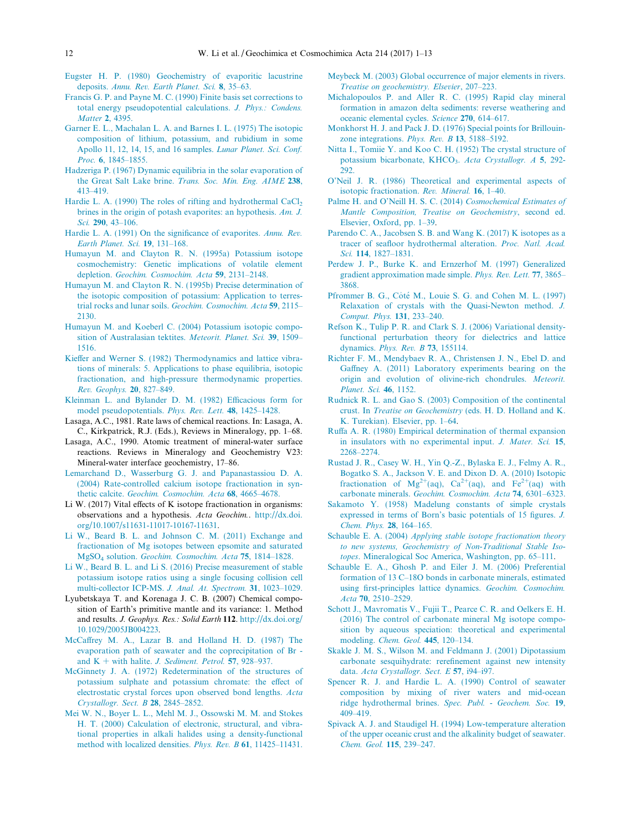- <span id="page-11-0"></span>[Eugster H. P. \(1980\) Geochemistry of evaporitic lacustrine](http://refhub.elsevier.com/S0016-7037(17)30461-1/h0080) deposits. [Annu. Rev. Earth Planet. Sci.](http://refhub.elsevier.com/S0016-7037(17)30461-1/h0080) 8, 35–63.
- [Francis G. P. and Payne M. C. \(1990\) Finite basis set corrections to](http://refhub.elsevier.com/S0016-7037(17)30461-1/h0085) [total energy pseudopotential calculations.](http://refhub.elsevier.com/S0016-7037(17)30461-1/h0085) J. Phys.: Condens. [Matter](http://refhub.elsevier.com/S0016-7037(17)30461-1/h0085) 2, 4395.
- [Garner E. L., Machalan L. A. and Barnes I. L. \(1975\) The isotopic](http://refhub.elsevier.com/S0016-7037(17)30461-1/h0090) [composition of lithium, potassium, and rubidium in some](http://refhub.elsevier.com/S0016-7037(17)30461-1/h0090) [Apollo 11, 12, 14, 15, and 16 samples.](http://refhub.elsevier.com/S0016-7037(17)30461-1/h0090) Lunar Planet. Sci. Conf. Proc. 6[, 1845–1855.](http://refhub.elsevier.com/S0016-7037(17)30461-1/h0090)
- [Hadzeriga P. \(1967\) Dynamic equilibria in the solar evaporation of](http://refhub.elsevier.com/S0016-7037(17)30461-1/h0095) the Great Salt Lake brine. [Trans. Soc. Min. Eng. AIME](http://refhub.elsevier.com/S0016-7037(17)30461-1/h0095) 238, [413–419.](http://refhub.elsevier.com/S0016-7037(17)30461-1/h0095)
- Hardie L. A. (1990) The roles of rifting and hydrothermal  $CaCl<sub>2</sub>$ [brines in the origin of potash evaporites: an hypothesis.](http://refhub.elsevier.com/S0016-7037(17)30461-1/h0100) Am. J. Sci. 290, 43-106.
- [Hardie L. A. \(1991\) On the significance of evaporites.](http://refhub.elsevier.com/S0016-7037(17)30461-1/h0105) Annu. Rev. [Earth Planet. Sci.](http://refhub.elsevier.com/S0016-7037(17)30461-1/h0105) 19, 131–168.
- [Humayun M. and Clayton R. N. \(1995a\) Potassium isotope](http://refhub.elsevier.com/S0016-7037(17)30461-1/h0110) [cosmochemistry: Genetic implications of volatile element](http://refhub.elsevier.com/S0016-7037(17)30461-1/h0110) depletion. [Geochim. Cosmochim. Acta](http://refhub.elsevier.com/S0016-7037(17)30461-1/h0110) 59, 2131–2148.
- [Humayun M. and Clayton R. N. \(1995b\) Precise determination of](http://refhub.elsevier.com/S0016-7037(17)30461-1/h0115) [the isotopic composition of potassium: Application to terres](http://refhub.elsevier.com/S0016-7037(17)30461-1/h0115)trial rocks and lunar soils. [Geochim. Cosmochim. Acta](http://refhub.elsevier.com/S0016-7037(17)30461-1/h0115) 59, 2115– [2130.](http://refhub.elsevier.com/S0016-7037(17)30461-1/h0115)
- [Humayun M. and Koeberl C. \(2004\) Potassium isotopic compo](http://refhub.elsevier.com/S0016-7037(17)30461-1/h0120)[sition of Australasian tektites.](http://refhub.elsevier.com/S0016-7037(17)30461-1/h0120) Meteorit. Planet. Sci. 39, 1509-[1516.](http://refhub.elsevier.com/S0016-7037(17)30461-1/h0120)
- [Kieffer and Werner S. \(1982\) Thermodynamics and lattice vibra](http://refhub.elsevier.com/S0016-7037(17)30461-1/h0125)[tions of minerals: 5. Applications to phase equilibria, isotopic](http://refhub.elsevier.com/S0016-7037(17)30461-1/h0125) [fractionation, and high-pressure thermodynamic properties.](http://refhub.elsevier.com/S0016-7037(17)30461-1/h0125) [Rev. Geophys.](http://refhub.elsevier.com/S0016-7037(17)30461-1/h0125) 20, 827–849.
- [Kleinman L. and Bylander D. M. \(1982\) Efficacious form for](http://refhub.elsevier.com/S0016-7037(17)30461-1/h0130) [model pseudopotentials.](http://refhub.elsevier.com/S0016-7037(17)30461-1/h0130) Phys. Rev. Lett. 48, 1425–1428.
- Lasaga, A.C., 1981. Rate laws of chemical reactions. In: Lasaga, A. C., Kirkpatrick, R.J. (Eds.), Reviews in Mineralogy, pp. 1–68.
- Lasaga, A.C., 1990. Atomic treatment of mineral-water surface reactions. Reviews in Mineralogy and Geochemistry V23: Mineral-water interface geochemistry, 17–86.
- [Lemarchand D., Wasserburg G. J. and Papanastassiou D. A.](http://refhub.elsevier.com/S0016-7037(17)30461-1/h0145) [\(2004\) Rate-controlled calcium isotope fractionation in syn](http://refhub.elsevier.com/S0016-7037(17)30461-1/h0145)thetic calcite. [Geochim. Cosmochim. Acta](http://refhub.elsevier.com/S0016-7037(17)30461-1/h0145) 68, 4665–4678.
- Li W. (2017) Vital effects of K isotope fractionation in organisms: observations and a hypothesis. Acta Geochim.. [http://dx.doi.](http://dx.doi.org/10.1007/s11631-11017-10167-11631) [org/10.1007/s11631-11017-10167-11631](http://dx.doi.org/10.1007/s11631-11017-10167-11631).
- [Li W., Beard B. L. and Johnson C. M. \(2011\) Exchange and](http://refhub.elsevier.com/S0016-7037(17)30461-1/h0155) [fractionation of Mg isotopes between epsomite and saturated](http://refhub.elsevier.com/S0016-7037(17)30461-1/h0155) [MgSO4](http://refhub.elsevier.com/S0016-7037(17)30461-1/h0155) solution. [Geochim. Cosmochim. Acta](http://refhub.elsevier.com/S0016-7037(17)30461-1/h0155) 75, 1814–1828.
- [Li W., Beard B. L. and Li S. \(2016\) Precise measurement of stable](http://refhub.elsevier.com/S0016-7037(17)30461-1/h0160) [potassium isotope ratios using a single focusing collision cell](http://refhub.elsevier.com/S0016-7037(17)30461-1/h0160) [multi-collector ICP-MS.](http://refhub.elsevier.com/S0016-7037(17)30461-1/h0160) J. Anal. At. Spectrom. 31, 1023–1029.
- Lyubetskaya T. and Korenaga J. C. B. (2007) Chemical composition of Earth's primitive mantle and its variance: 1. Method and results. J. Geophys. Res.: Solid Earth 112. [http://dx.doi.org/](http://dx.doi.org/10.1029/2005JB004223) [10.1029/2005JB004223](http://dx.doi.org/10.1029/2005JB004223).
- [McCaffrey M. A., Lazar B. and Holland H. D. \(1987\) The](http://refhub.elsevier.com/S0016-7037(17)30461-1/h0170) [evaporation path of seawater and the coprecipitation of Br](http://refhub.elsevier.com/S0016-7037(17)30461-1/h0170)  and  $K$  + with halite. J. Sediment. Petrol. 57, 928-937.
- [McGinnety J. A. \(1972\) Redetermination of the structures of](http://refhub.elsevier.com/S0016-7037(17)30461-1/h0175) [potassium sulphate and potassium chromate: the effect of](http://refhub.elsevier.com/S0016-7037(17)30461-1/h0175) [electrostatic crystal forces upon observed bond lengths.](http://refhub.elsevier.com/S0016-7037(17)30461-1/h0175) Acta [Crystallogr. Sect. B](http://refhub.elsevier.com/S0016-7037(17)30461-1/h0175) 28, 2845–2852.
- [Mei W. N., Boyer L. L., Mehl M. J., Ossowski M. M. and Stokes](http://refhub.elsevier.com/S0016-7037(17)30461-1/h0180) [H. T. \(2000\) Calculation of electronic, structural, and vibra](http://refhub.elsevier.com/S0016-7037(17)30461-1/h0180)[tional properties in alkali halides using a density-functional](http://refhub.elsevier.com/S0016-7037(17)30461-1/h0180) [method with localized densities.](http://refhub.elsevier.com/S0016-7037(17)30461-1/h0180) Phys. Rev. B 61, 11425–11431.
- [Meybeck M. \(2003\) Global occurrence of major elements in rivers.](http://refhub.elsevier.com/S0016-7037(17)30461-1/h0185) [Treatise on geochemistry. Elsevier](http://refhub.elsevier.com/S0016-7037(17)30461-1/h0185), 207–223.
- [Michalopoulos P. and Aller R. C. \(1995\) Rapid clay mineral](http://refhub.elsevier.com/S0016-7037(17)30461-1/h0190) [formation in amazon delta sediments: reverse weathering and](http://refhub.elsevier.com/S0016-7037(17)30461-1/h0190) [oceanic elemental cycles.](http://refhub.elsevier.com/S0016-7037(17)30461-1/h0190) Science 270, 614–617.
- [Monkhorst H. J. and Pack J. D. \(1976\) Special points for Brillouin](http://refhub.elsevier.com/S0016-7037(17)30461-1/h0195)[zone integrations.](http://refhub.elsevier.com/S0016-7037(17)30461-1/h0195) Phys. Rev. B 13, 5188–5192.
- [Nitta I., Tomiie Y. and Koo C. H. \(1952\) The crystal structure of](http://refhub.elsevier.com/S0016-7037(17)30461-1/h0200) potassium bicarbonate, KHCO<sub>3</sub>. [Acta Crystallogr. A](http://refhub.elsevier.com/S0016-7037(17)30461-1/h0200) 5, 292- $292.$
- [O'Neil J. R. \(1986\) Theoretical and experimental aspects of](http://refhub.elsevier.com/S0016-7037(17)30461-1/h0205) [isotopic fractionation.](http://refhub.elsevier.com/S0016-7037(17)30461-1/h0205) Rev. Mineral. 16, 1–40.
- [Palme H. and O'Neill H. S. C. \(2014\)](http://refhub.elsevier.com/S0016-7037(17)30461-1/h0210) Cosmochemical Estimates of [Mantle Composition, Treatise on Geochemistry](http://refhub.elsevier.com/S0016-7037(17)30461-1/h0210), second ed. [Elsevier, Oxford, pp. 1–39](http://refhub.elsevier.com/S0016-7037(17)30461-1/h0210).
- [Parendo C. A., Jacobsen S. B. and Wang K. \(2017\) K isotopes as a](http://refhub.elsevier.com/S0016-7037(17)30461-1/h0215) [tracer of seafloor hydrothermal alteration.](http://refhub.elsevier.com/S0016-7037(17)30461-1/h0215) Proc. Natl. Acad. Sci. 114[, 1827–1831.](http://refhub.elsevier.com/S0016-7037(17)30461-1/h0215)
- [Perdew J. P., Burke K. and Ernzerhof M. \(1997\) Generalized](http://refhub.elsevier.com/S0016-7037(17)30461-1/h0220) [gradient approximation made simple.](http://refhub.elsevier.com/S0016-7037(17)30461-1/h0220) Phys. Rev. Lett. 77, 3865– [3868.](http://refhub.elsevier.com/S0016-7037(17)30461-1/h0220)
- Pfrommer B. G., Côté [M., Louie S. G. and Cohen M. L. \(1997\)](http://refhub.elsevier.com/S0016-7037(17)30461-1/h0225) [Relaxation of crystals with the Quasi-Newton method.](http://refhub.elsevier.com/S0016-7037(17)30461-1/h0225) J. [Comput. Phys.](http://refhub.elsevier.com/S0016-7037(17)30461-1/h0225) 131, 233–240.
- [Refson K., Tulip P. R. and Clark S. J. \(2006\) Variational density](http://refhub.elsevier.com/S0016-7037(17)30461-1/h0230)[functional perturbation theory for dielectrics and lattice](http://refhub.elsevier.com/S0016-7037(17)30461-1/h0230) dynamics. [Phys. Rev. B](http://refhub.elsevier.com/S0016-7037(17)30461-1/h0230) 73, 155114.
- [Richter F. M., Mendybaev R. A., Christensen J. N., Ebel D. and](http://refhub.elsevier.com/S0016-7037(17)30461-1/h0235) [Gaffney A. \(2011\) Laboratory experiments bearing on the](http://refhub.elsevier.com/S0016-7037(17)30461-1/h0235) [origin and evolution of olivine-rich chondrules.](http://refhub.elsevier.com/S0016-7037(17)30461-1/h0235) Meteorit. [Planet. Sci.](http://refhub.elsevier.com/S0016-7037(17)30461-1/h0235) 46, 1152.
- [Rudnick R. L. and Gao S. \(2003\) Composition of the continental](http://refhub.elsevier.com/S0016-7037(17)30461-1/h0240) crust. In Treatise on Geochemistry [\(eds. H. D. Holland and K.](http://refhub.elsevier.com/S0016-7037(17)30461-1/h0240) [K. Turekian\). Elsevier, pp. 1–64.](http://refhub.elsevier.com/S0016-7037(17)30461-1/h0240)
- [Ruffa A. R. \(1980\) Empirical determination of thermal expansion](http://refhub.elsevier.com/S0016-7037(17)30461-1/h0245) [in insulators with no experimental input.](http://refhub.elsevier.com/S0016-7037(17)30461-1/h0245) J. Mater. Sci. 15, [2268–2274.](http://refhub.elsevier.com/S0016-7037(17)30461-1/h0245)
- [Rustad J. R., Casey W. H., Yin Q.-Z., Bylaska E. J., Felmy A. R.,](http://refhub.elsevier.com/S0016-7037(17)30461-1/h0250) [Bogatko S. A., Jackson V. E. and Dixon D. A. \(2010\) Isotopic](http://refhub.elsevier.com/S0016-7037(17)30461-1/h0250) [fractionation](http://refhub.elsevier.com/S0016-7037(17)30461-1/h0250) [of](http://refhub.elsevier.com/S0016-7037(17)30461-1/h0250)  $Mg^{2+}(aq)$ ,  $Ca^{2+}(aq)$ , [and](http://refhub.elsevier.com/S0016-7037(17)30461-1/h0250)  $Fe^{2+}(aq)$  with carbonate minerals. [Geochim. Cosmochim. Acta](http://refhub.elsevier.com/S0016-7037(17)30461-1/h0250) 74, 6301–6323.
- [Sakamoto Y. \(1958\) Madelung constants of simple crystals](http://refhub.elsevier.com/S0016-7037(17)30461-1/h0255) [expressed in terms of Born's basic potentials of 15 figures.](http://refhub.elsevier.com/S0016-7037(17)30461-1/h0255) J. [Chem. Phys.](http://refhub.elsevier.com/S0016-7037(17)30461-1/h0255) 28, 164–165.
- Schauble E. A. (2004) [Applying stable isotope fractionation theory](http://refhub.elsevier.com/S0016-7037(17)30461-1/h0260) [to new systems, Geochemistry of Non-Traditional Stable Iso](http://refhub.elsevier.com/S0016-7037(17)30461-1/h0260)topes[. Mineralogical Soc America, Washington, pp. 65–111.](http://refhub.elsevier.com/S0016-7037(17)30461-1/h0260)
- [Schauble E. A., Ghosh P. and Eiler J. M. \(2006\) Preferential](http://refhub.elsevier.com/S0016-7037(17)30461-1/h0265) [formation of 13 C–18O bonds in carbonate minerals, estimated](http://refhub.elsevier.com/S0016-7037(17)30461-1/h0265) [using first-principles lattice dynamics.](http://refhub.elsevier.com/S0016-7037(17)30461-1/h0265) Geochim. Cosmochim. Acta 70[, 2510–2529.](http://refhub.elsevier.com/S0016-7037(17)30461-1/h0265)
- [Schott J., Mavromatis V., Fujii T., Pearce C. R. and Oelkers E. H.](http://refhub.elsevier.com/S0016-7037(17)30461-1/h0270) [\(2016\) The control of carbonate mineral Mg isotope compo](http://refhub.elsevier.com/S0016-7037(17)30461-1/h0270)[sition by aqueous speciation: theoretical and experimental](http://refhub.elsevier.com/S0016-7037(17)30461-1/h0270) modeling. [Chem. Geol.](http://refhub.elsevier.com/S0016-7037(17)30461-1/h0270) 445, 120–134.
- [Skakle J. M. S., Wilson M. and Feldmann J. \(2001\) Dipotassium](http://refhub.elsevier.com/S0016-7037(17)30461-1/h0275) [carbonate sesquihydrate: rerefinement against new intensity](http://refhub.elsevier.com/S0016-7037(17)30461-1/h0275) data. [Acta Crystallogr. Sect. E](http://refhub.elsevier.com/S0016-7037(17)30461-1/h0275) 57, i94–i97.
- [Spencer R. J. and Hardie L. A. \(1990\) Control of seawater](http://refhub.elsevier.com/S0016-7037(17)30461-1/h0280) [composition by mixing of river waters and mid-ocean](http://refhub.elsevier.com/S0016-7037(17)30461-1/h0280) ridge hydrothermal brines. [Spec. Publ. - Geochem. Soc.](http://refhub.elsevier.com/S0016-7037(17)30461-1/h0280) 19, [409–419.](http://refhub.elsevier.com/S0016-7037(17)30461-1/h0280)
- [Spivack A. J. and Staudigel H. \(1994\) Low-temperature alteration](http://refhub.elsevier.com/S0016-7037(17)30461-1/h0285) [of the upper oceanic crust and the alkalinity budget of seawater.](http://refhub.elsevier.com/S0016-7037(17)30461-1/h0285) [Chem. Geol.](http://refhub.elsevier.com/S0016-7037(17)30461-1/h0285) 115, 239–247.